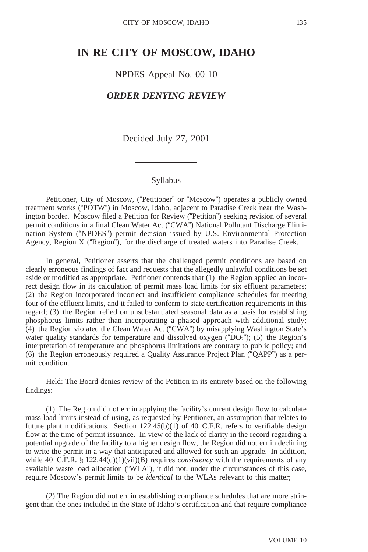# **IN RE CITY OF MOSCOW, IDAHO**

NPDES Appeal No. 00-10

# *ORDER DENYING REVIEW*

Decided July 27, 2001

#### Syllabus

Petitioner, City of Moscow, ("Petitioner" or "Moscow") operates a publicly owned treatment works ("POTW") in Moscow, Idaho, adjacent to Paradise Creek near the Washington border. Moscow filed a Petition for Review ("Petition") seeking revision of several permit conditions in a final Clean Water Act ("CWA") National Pollutant Discharge Elimination System ("NPDES") permit decision issued by U.S. Environmental Protection Agency, Region X ("Region"), for the discharge of treated waters into Paradise Creek.

In general, Petitioner asserts that the challenged permit conditions are based on clearly erroneous findings of fact and requests that the allegedly unlawful conditions be set aside or modified as appropriate. Petitioner contends that (1) the Region applied an incorrect design flow in its calculation of permit mass load limits for six effluent parameters; (2) the Region incorporated incorrect and insufficient compliance schedules for meeting four of the effluent limits, and it failed to conform to state certification requirements in this regard; (3) the Region relied on unsubstantiated seasonal data as a basis for establishing phosphorus limits rather than incorporating a phased approach with additional study; (4) the Region violated the Clean Water Act ("CWA") by misapplying Washington State's water quality standards for temperature and dissolved oxygen ( $DQ_2$ "); (5) the Region's interpretation of temperature and phosphorus limitations are contrary to public policy; and (6) the Region erroneously required a Quality Assurance Project Plan ("QAPP") as a permit condition.

Held: The Board denies review of the Petition in its entirety based on the following findings:

(1) The Region did not err in applying the facility's current design flow to calculate mass load limits instead of using, as requested by Petitioner, an assumption that relates to future plant modifications. Section  $122.45(b)(1)$  of 40 C.F.R. refers to verifiable design flow at the time of permit issuance. In view of the lack of clarity in the record regarding a potential upgrade of the facility to a higher design flow, the Region did not err in declining to write the permit in a way that anticipated and allowed for such an upgrade. In addition, while 40 C.F.R. §  $122.44(d)(1)(vii)(B)$  requires *consistency* with the requirements of any available waste load allocation ("WLA"), it did not, under the circumstances of this case, require Moscow's permit limits to be *identical* to the WLAs relevant to this matter;

(2) The Region did not err in establishing compliance schedules that are more stringent than the ones included in the State of Idaho's certification and that require compliance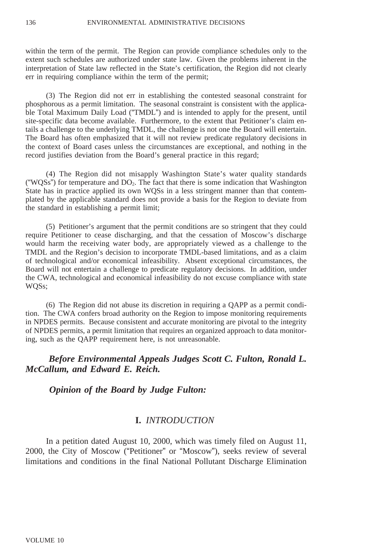within the term of the permit. The Region can provide compliance schedules only to the extent such schedules are authorized under state law. Given the problems inherent in the interpretation of State law reflected in the State's certification, the Region did not clearly err in requiring compliance within the term of the permit;

(3) The Region did not err in establishing the contested seasonal constraint for phosphorous as a permit limitation. The seasonal constraint is consistent with the applicable Total Maximum Daily Load ("TMDL") and is intended to apply for the present, until site-specific data become available. Furthermore, to the extent that Petitioner's claim entails a challenge to the underlying TMDL, the challenge is not one the Board will entertain. The Board has often emphasized that it will not review predicate regulatory decisions in the context of Board cases unless the circumstances are exceptional, and nothing in the record justifies deviation from the Board's general practice in this regard;

(4) The Region did not misapply Washington State's water quality standards ("WOSs") for temperature and  $DO<sub>2</sub>$ . The fact that there is some indication that Washington State has in practice applied its own WQSs in a less stringent manner than that contemplated by the applicable standard does not provide a basis for the Region to deviate from the standard in establishing a permit limit;

(5) Petitioner's argument that the permit conditions are so stringent that they could require Petitioner to cease discharging, and that the cessation of Moscow's discharge would harm the receiving water body, are appropriately viewed as a challenge to the TMDL and the Region's decision to incorporate TMDL-based limitations, and as a claim of technological and/or economical infeasibility. Absent exceptional circumstances, the Board will not entertain a challenge to predicate regulatory decisions. In addition, under the CWA, technological and economical infeasibility do not excuse compliance with state WQSs;

(6) The Region did not abuse its discretion in requiring a QAPP as a permit condition. The CWA confers broad authority on the Region to impose monitoring requirements in NPDES permits. Because consistent and accurate monitoring are pivotal to the integrity of NPDES permits, a permit limitation that requires an organized approach to data monitoring, such as the QAPP requirement here, is not unreasonable.

# *Before Environmental Appeals Judges Scott C. Fulton, Ronald L. McCallum, and Edward E. Reich.*

 *Opinion of the Board by Judge Fulton:*

### **I.** *INTRODUCTION*

In a petition dated August 10, 2000, which was timely filed on August 11, 2000, the City of Moscow ("Petitioner" or "Moscow"), seeks review of several limitations and conditions in the final National Pollutant Discharge Elimination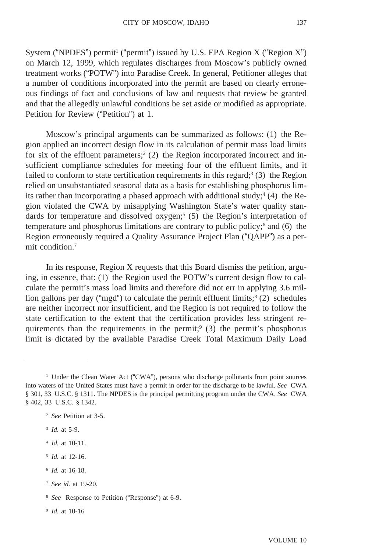System ("NPDES") permit<sup>1</sup> ("permit") issued by U.S. EPA Region  $X$  ("Region  $X$ ") on March 12, 1999, which regulates discharges from Moscow's publicly owned treatment works ("POTW") into Paradise Creek. In general, Petitioner alleges that a number of conditions incorporated into the permit are based on clearly erroneous findings of fact and conclusions of law and requests that review be granted and that the allegedly unlawful conditions be set aside or modified as appropriate. Petition for Review ("Petition") at 1.

Moscow's principal arguments can be summarized as follows: (1) the Region applied an incorrect design flow in its calculation of permit mass load limits for six of the effluent parameters;<sup>2</sup> (2) the Region incorporated incorrect and insufficient compliance schedules for meeting four of the effluent limits, and it failed to conform to state certification requirements in this regard; $3(3)$  the Region relied on unsubstantiated seasonal data as a basis for establishing phosphorus limits rather than incorporating a phased approach with additional study;<sup>4</sup> (4) the Region violated the CWA by misapplying Washington State's water quality standards for temperature and dissolved oxygen;<sup>5</sup> (5) the Region's interpretation of temperature and phosphorus limitations are contrary to public policy;6 and (6) the Region erroneously required a Quality Assurance Project Plan ("QAPP") as a permit condition.<sup>7</sup>

In its response, Region X requests that this Board dismiss the petition, arguing, in essence, that: (1) the Region used the POTW's current design flow to calculate the permit's mass load limits and therefore did not err in applying 3.6 million gallons per day ("mgd") to calculate the permit effluent limits; $8(2)$  schedules are neither incorrect nor insufficient, and the Region is not required to follow the state certification to the extent that the certification provides less stringent requirements than the requirements in the permit;<sup>9</sup> (3) the permit's phosphorus limit is dictated by the available Paradise Creek Total Maximum Daily Load

- <sup>3</sup> *Id.* at 5-9.
- <sup>4</sup> *Id.* at 10-11.
- <sup>5</sup> *Id.* at 12-16.
- <sup>6</sup> *Id.* at 16-18.
- <sup>7</sup> *See id.* at 19-20.
- <sup>8</sup> *See* Response to Petition ("Response") at 6-9.
- <sup>9</sup> *Id.* at 10-16

<sup>&</sup>lt;sup>1</sup> Under the Clean Water Act ("CWA"), persons who discharge pollutants from point sources into waters of the United States must have a permit in order for the discharge to be lawful. *See* CWA § 301, 33 U.S.C. § 1311. The NPDES is the principal permitting program under the CWA. *See* CWA § 402, 33 U.S.C. § 1342.

<sup>2</sup> *See* Petition at 3-5.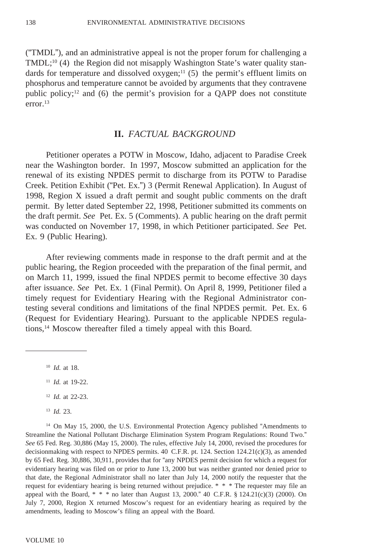("TMDL"), and an administrative appeal is not the proper forum for challenging a TMDL;<sup>10</sup> (4) the Region did not misapply Washington State's water quality standards for temperature and dissolved oxygen;<sup>11</sup> (5) the permit's effluent limits on phosphorus and temperature cannot be avoided by arguments that they contravene public policy;<sup>12</sup> and (6) the permit's provision for a QAPP does not constitute error.13

### **II.** *FACTUAL BACKGROUND*

Petitioner operates a POTW in Moscow, Idaho, adjacent to Paradise Creek near the Washington border. In 1997, Moscow submitted an application for the renewal of its existing NPDES permit to discharge from its POTW to Paradise Creek. Petition Exhibit ("Pet. Ex.") 3 (Permit Renewal Application). In August of 1998, Region X issued a draft permit and sought public comments on the draft permit. By letter dated September 22, 1998, Petitioner submitted its comments on the draft permit. *See* Pet. Ex. 5 (Comments). A public hearing on the draft permit was conducted on November 17, 1998, in which Petitioner participated. *See* Pet. Ex. 9 (Public Hearing).

After reviewing comments made in response to the draft permit and at the public hearing, the Region proceeded with the preparation of the final permit, and on March 11, 1999, issued the final NPDES permit to become effective 30 days after issuance. *See* Pet. Ex. 1 (Final Permit). On April 8, 1999, Petitioner filed a timely request for Evidentiary Hearing with the Regional Administrator contesting several conditions and limitations of the final NPDES permit. Pet. Ex. 6 (Request for Evidentiary Hearing). Pursuant to the applicable NPDES regulations,14 Moscow thereafter filed a timely appeal with this Board.

 *Id.* at 18. *Id.* at 19-22. *Id.* at 22-23. <sup>13</sup> *Id.* 23.

<sup>14</sup> On May 15, 2000, the U.S. Environmental Protection Agency published "Amendments to Streamline the National Pollutant Discharge Elimination System Program Regulations: Round Two." *See* 65 Fed. Reg. 30,886 (May 15, 2000). The rules, effective July 14, 2000, revised the procedures for decisionmaking with respect to NPDES permits. 40 C.F.R. pt. 124. Section  $124.21(c)(3)$ , as amended by 65 Fed. Reg. 30,886, 30,911, provides that for "any NPDES permit decision for which a request for evidentiary hearing was filed on or prior to June 13, 2000 but was neither granted nor denied prior to that date, the Regional Administrator shall no later than July 14, 2000 notify the requester that the request for evidentiary hearing is being returned without prejudice. \* \* \* The requester may file an appeal with the Board, \* \* \* no later than August 13, 2000." 40 C.F.R. § 124.21(c)(3) (2000). On July 7, 2000, Region X returned Moscow's request for an evidentiary hearing as required by the amendments, leading to Moscow's filing an appeal with the Board.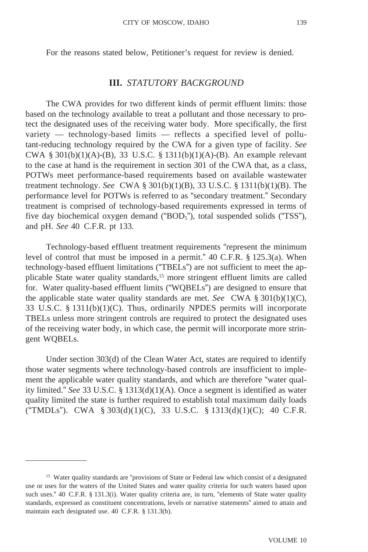For the reasons stated below, Petitioner's request for review is denied.

### **III.** *STATUTORY BACKGROUND*

The CWA provides for two different kinds of permit effluent limits: those based on the technology available to treat a pollutant and those necessary to protect the designated uses of the receiving water body. More specifically, the first variety — technology-based limits — reflects a specified level of pollutant-reducing technology required by the CWA for a given type of facility. *See* CWA § 301(b)(1)(A)-(B), 33 U.S.C. § 1311(b)(1)(A)-(B). An example relevant to the case at hand is the requirement in section 301 of the CWA that, as a class, POTWs meet performance-based requirements based on available wastewater treatment technology. *See* CWA § 301(b)(1)(B), 33 U.S.C. § 1311(b)(1)(B). The performance level for POTWs is referred to as "secondary treatment." Secondary treatment is comprised of technology-based requirements expressed in terms of five day biochemical oxygen demand (" $BOD<sub>5</sub>$ "), total suspended solids ("TSS"), and pH. *See* 40 C.F.R. pt 133.

Technology-based effluent treatment requirements "represent the minimum level of control that must be imposed in a permit." 40 C.F.R. § 125.3(a). When technology-based effluent limitations ("TBELs") are not sufficient to meet the applicable State water quality standards,15 more stringent effluent limits are called for. Water quality-based effluent limits ("WQBELs") are designed to ensure that the applicable state water quality standards are met. *See* CWA § 301(b)(1)(C), 33 U.S.C. § 1311(b)(1)(C). Thus, ordinarily NPDES permits will incorporate TBELs unless more stringent controls are required to protect the designated uses of the receiving water body, in which case, the permit will incorporate more stringent WQBELs.

Under section 303(d) of the Clean Water Act, states are required to identify those water segments where technology-based controls are insufficient to implement the applicable water quality standards, and which are therefore "water quality limited." *See* 33 U.S.C. § 1313(d)(1)(A). Once a segment is identified as water quality limited the state is further required to establish total maximum daily loads ("TMDLs"). CWA § 303(d)(1)(C), 33 U.S.C. § 1313(d)(1)(C); 40 C.F.R.

<sup>&</sup>lt;sup>15</sup> Water quality standards are "provisions of State or Federal law which consist of a designated use or uses for the waters of the United States and water quality criteria for such waters based upon such uses." 40 C.F.R. § 131.3(i). Water quality criteria are, in turn, "elements of State water quality standards, expressed as constituent concentrations, levels or narrative statements" aimed to attain and maintain each designated use. 40 C.F.R. § 131.3(b).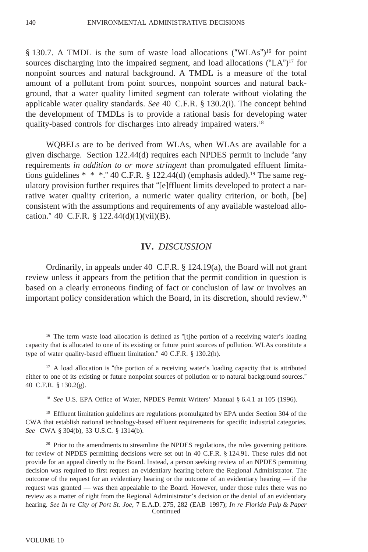§ 130.7. A TMDL is the sum of waste load allocations ("WLAs")<sup>16</sup> for point sources discharging into the impaired segment, and load allocations ("LA")<sup>17</sup> for nonpoint sources and natural background. A TMDL is a measure of the total amount of a pollutant from point sources, nonpoint sources and natural background, that a water quality limited segment can tolerate without violating the applicable water quality standards. *See* 40 C.F.R. § 130.2(i). The concept behind the development of TMDLs is to provide a rational basis for developing water quality-based controls for discharges into already impaired waters.18

WQBELs are to be derived from WLAs, when WLAs are available for a given discharge. Section 122.44(d) requires each NPDES permit to include "any requirements *in addition to or more stringent* than promulgated effluent limitations guidelines  $* * *$ ." 40 C.F.R. § 122.44(d) (emphasis added).<sup>19</sup> The same regulatory provision further requires that "[e]ffluent limits developed to protect a narrative water quality criterion, a numeric water quality criterion, or both, [be] consistent with the assumptions and requirements of any available wasteload allocation." 40 C.F.R.  $\S$  122.44(d)(1)(vii)(B).

### **IV.** *DISCUSSION*

Ordinarily, in appeals under 40 C.F.R. § 124.19(a), the Board will not grant review unless it appears from the petition that the permit condition in question is based on a clearly erroneous finding of fact or conclusion of law or involves an important policy consideration which the Board, in its discretion, should review.20

<sup>19</sup> Effluent limitation guidelines are regulations promulgated by EPA under Section 304 of the CWA that establish national technology-based effluent requirements for specific industrial categories. *See* CWA § 304(b), 33 U.S.C. § 1314(b).

<sup>&</sup>lt;sup>16</sup> The term waste load allocation is defined as "[t]he portion of a receiving water's loading capacity that is allocated to one of its existing or future point sources of pollution. WLAs constitute a type of water quality-based effluent limitation." 40 C.F.R. § 130.2(h).

<sup>&</sup>lt;sup>17</sup> A load allocation is "the portion of a receiving water's loading capacity that is attributed either to one of its existing or future nonpoint sources of pollution or to natural background sources." 40 C.F.R. § 130.2(g).

<sup>18</sup> *See* U.S. EPA Office of Water, NPDES Permit Writers' Manual § 6.4.1 at 105 (1996).

<sup>&</sup>lt;sup>20</sup> Prior to the amendments to streamline the NPDES regulations, the rules governing petitions for review of NPDES permitting decisions were set out in 40 C.F.R. § 124.91. These rules did not provide for an appeal directly to the Board. Instead, a person seeking review of an NPDES permitting decision was required to first request an evidentiary hearing before the Regional Administrator. The outcome of the request for an evidentiary hearing or the outcome of an evidentiary hearing — if the request was granted — was then appealable to the Board. However, under those rules there was no review as a matter of right from the Regional Administrator's decision or the denial of an evidentiary hearing. *See In re City of Port St. Joe*, 7 E.A.D. 275, 282 (EAB 1997); *In re Florida Pulp & Paper* Continued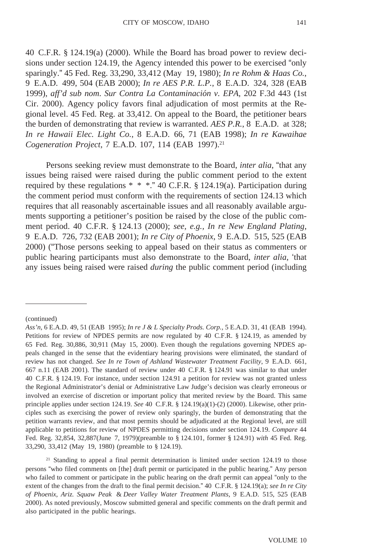40 C.F.R. § 124.19(a) (2000). While the Board has broad power to review decisions under section 124.19, the Agency intended this power to be exercised "only sparingly." 45 Fed. Reg. 33,290, 33,412 (May 19, 1980); *In re Rohm & Haas Co.*, 9 E.A.D. 499, 504 (EAB 2000); *In re AES P.R. L.P.*, 8 E.A.D. 324, 328 (EAB 1999), aff'd sub nom. *Sur Contra La Contaminación v. EPA*, 202 F.3d 443 (1st Cir. 2000). Agency policy favors final adjudication of most permits at the Regional level. 45 Fed. Reg. at 33,412. On appeal to the Board, the petitioner bears the burden of demonstrating that review is warranted. *AES P.R.*, 8 E.A.D. at 328; *In re Hawaii Elec. Light Co.*, 8 E.A.D. 66, 71 (EAB 1998); *In re Kawaihae Cogeneration Project*, 7 E.A.D. 107, 114 (EAB 1997).21

Persons seeking review must demonstrate to the Board, *inter alia*, "that any issues being raised were raised during the public comment period to the extent required by these regulations  $* * *$ ." 40 C.F.R. § 124.19(a). Participation during the comment period must conform with the requirements of section 124.13 which requires that all reasonably ascertainable issues and all reasonably available arguments supporting a petitioner's position be raised by the close of the public comment period. 40 C.F.R. § 124.13 (2000); *see, e.g., In re New England Plating*, 9 E.A.D. 726, 732 (EAB 2001); *In re City of Phoenix*, 9 E.A.D. 515, 525 (EAB 2000) ("Those persons seeking to appeal based on their status as commenters or public hearing participants must also demonstrate to the Board, *inter alia*, 'that any issues being raised were raised *during* the public comment period (including

<sup>21</sup> Standing to appeal a final permit determination is limited under section 124.19 to those persons "who filed comments on [the] draft permit or participated in the public hearing." Any person who failed to comment or participate in the public hearing on the draft permit can appeal "only to the extent of the changes from the draft to the final permit decision." 40 C.F.R. § 124.19(a); *see In re City of Phoenix*, *Ariz. Squaw Peak* & *Deer Valley Water Treatment Plants*, 9 E.A.D. 515, 525 (EAB 2000). As noted previously, Moscow submitted general and specific comments on the draft permit and also participated in the public hearings.

<sup>(</sup>continued)

*Ass'n*, 6 E.A.D. 49, 51 (EAB 1995); *In re J & L Specialty Prods. Corp.,* 5 E.A.D. 31, 41 (EAB 1994). Petitions for review of NPDES permits are now regulated by 40 C.F.R. § 124.19, as amended by 65 Fed. Reg. 30,886, 30,911 (May 15, 2000). Even though the regulations governing NPDES appeals changed in the sense that the evidentiary hearing provisions were eliminated, the standard of review has not changed. *See In re Town of Ashland Wastewater Treatment Facility*, 9 E.A.D. 661, 667 n.11 (EAB 2001). The standard of review under 40 C.F.R. § 124.91 was similar to that under 40 C.F.R. § 124.19. For instance, under section 124.91 a petition for review was not granted unless the Regional Administrator's denial or Administrative Law Judge's decision was clearly erroneous or involved an exercise of discretion or important policy that merited review by the Board. This same principle applies under section 124.19. *See* 40 C.F.R. § 124.19(a)(1)-(2) (2000). Likewise, other principles such as exercising the power of review only sparingly, the burden of demonstrating that the petition warrants review, and that most permits should be adjudicated at the Regional level, are still applicable to petitions for review of NPDES permitting decisions under section 124.19. *Compare* 44 Fed. Reg. 32,854, 32,887(June 7, 1979)(preamble to § 124.101, former § 124.91) *with* 45 Fed. Reg. 33,290, 33,412 (May 19, 1980) (preamble to § 124.19).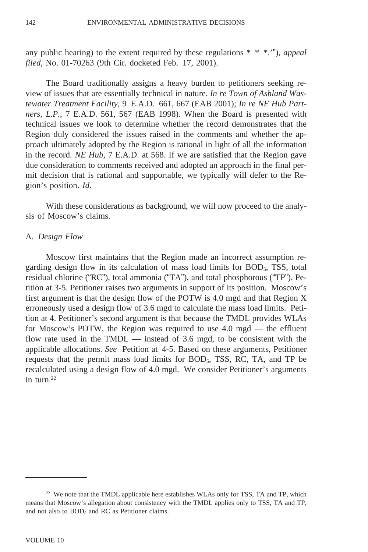any public hearing) to the extent required by these regulations \* \* \*.'")*, appeal filed*, No. 01-70263 (9th Cir. docketed Feb. 17, 2001).

The Board traditionally assigns a heavy burden to petitioners seeking review of issues that are essentially technical in nature. *In re Town of Ashland Wastewater Treatment Facility*, 9 E.A.D. 661, 667 (EAB 2001); *In re NE Hub Partners, L.P.*, 7 E.A.D. 561, 567 (EAB 1998). When the Board is presented with technical issues we look to determine whether the record demonstrates that the Region duly considered the issues raised in the comments and whether the approach ultimately adopted by the Region is rational in light of all the information in the record. *NE Hub*, 7 E.A.D. at 568. If we are satisfied that the Region gave due consideration to comments received and adopted an approach in the final permit decision that is rational and supportable, we typically will defer to the Region's position. *Id.*

With these considerations as background, we will now proceed to the analysis of Moscow's claims.

#### A. *Design Flow*

Moscow first maintains that the Region made an incorrect assumption regarding design flow in its calculation of mass load limits for  $BOD<sub>5</sub>$ , TSS, total residual chlorine ("RC"), total ammonia ("TA"), and total phosphorous ("TP"). Petition at 3-5. Petitioner raises two arguments in support of its position. Moscow's first argument is that the design flow of the POTW is 4.0 mgd and that Region X erroneously used a design flow of 3.6 mgd to calculate the mass load limits. Petition at 4. Petitioner's second argument is that because the TMDL provides WLAs for Moscow's POTW, the Region was required to use 4.0 mgd — the effluent flow rate used in the TMDL — instead of 3.6 mgd, to be consistent with the applicable allocations. *See* Petition at 4-5. Based on these arguments, Petitioner requests that the permit mass load limits for  $BOD<sub>5</sub>$ , TSS, RC, TA, and TP be recalculated using a design flow of 4.0 mgd. We consider Petitioner's arguments in turn.22

<sup>&</sup>lt;sup>22</sup> We note that the TMDL applicable here establishes WLAs only for TSS, TA and TP, which means that Moscow's allegation about consistency with the TMDL applies only to TSS, TA and TP, and not also to  $BOD<sub>5</sub>$  and RC as Petitioner claims.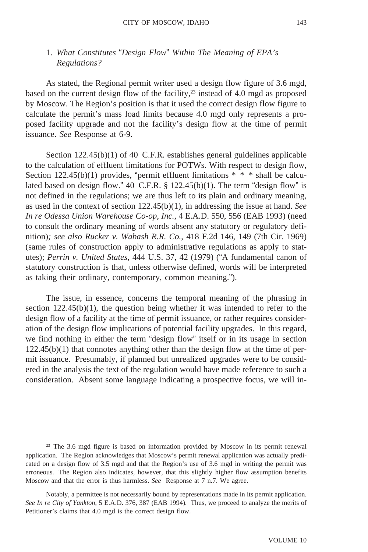# 1. *What Constitutes* "*Design Flow*" *Within The Meaning of EPA's Regulations?*

As stated, the Regional permit writer used a design flow figure of 3.6 mgd, based on the current design flow of the facility, $2<sup>3</sup>$  instead of 4.0 mgd as proposed by Moscow. The Region's position is that it used the correct design flow figure to calculate the permit's mass load limits because 4.0 mgd only represents a proposed facility upgrade and not the facility's design flow at the time of permit issuance. *See* Response at 6-9.

Section 122.45(b)(1) of 40 C.F.R. establishes general guidelines applicable to the calculation of effluent limitations for POTWs. With respect to design flow, Section 122.45(b)(1) provides, "permit effluent limitations \* \* \* shall be calculated based on design flow." 40 C.F.R. § 122.45(b)(1). The term "design flow" is not defined in the regulations; we are thus left to its plain and ordinary meaning, as used in the context of section 122.45(b)(1), in addressing the issue at hand. *See In re Odessa Union Warehouse Co-op, Inc.*, 4 E.A.D. 550, 556 (EAB 1993) (need to consult the ordinary meaning of words absent any statutory or regulatory definition)*; see also Rucker v. Wabash R.R. Co.*, 418 F.2d 146, 149 (7th Cir. 1969) (same rules of construction apply to administrative regulations as apply to statutes); *Perrin v. United States*, 444 U.S. 37, 42 (1979) ("A fundamental canon of statutory construction is that, unless otherwise defined, words will be interpreted as taking their ordinary, contemporary, common meaning.").

The issue, in essence, concerns the temporal meaning of the phrasing in section  $122.45(b)(1)$ , the question being whether it was intended to refer to the design flow of a facility at the time of permit issuance, or rather requires consideration of the design flow implications of potential facility upgrades. In this regard, we find nothing in either the term "design flow" itself or in its usage in section  $122.45(b)(1)$  that connotes anything other than the design flow at the time of permit issuance. Presumably, if planned but unrealized upgrades were to be considered in the analysis the text of the regulation would have made reference to such a consideration. Absent some language indicating a prospective focus, we will in-

<sup>23</sup> The 3.6 mgd figure is based on information provided by Moscow in its permit renewal application. The Region acknowledges that Moscow's permit renewal application was actually predicated on a design flow of 3.5 mgd and that the Region's use of 3.6 mgd in writing the permit was erroneous. The Region also indicates, however, that this slightly higher flow assumption benefits Moscow and that the error is thus harmless. *See* Response at 7 n.7. We agree.

Notably, a permittee is not necessarily bound by representations made in its permit application. *See In re City of Yankton*, 5 E.A.D. 376, 387 (EAB 1994)*.* Thus, we proceed to analyze the merits of Petitioner's claims that 4.0 mgd is the correct design flow.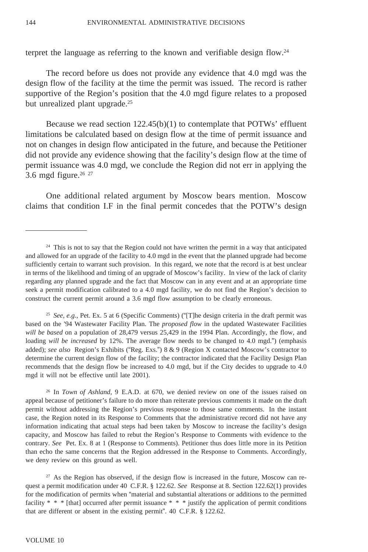terpret the language as referring to the known and verifiable design flow.24

The record before us does not provide any evidence that 4.0 mgd was the design flow of the facility at the time the permit was issued. The record is rather supportive of the Region's position that the 4.0 mgd figure relates to a proposed but unrealized plant upgrade.<sup>25</sup>

Because we read section  $122.45(b)(1)$  to contemplate that POTWs' effluent limitations be calculated based on design flow at the time of permit issuance and not on changes in design flow anticipated in the future, and because the Petitioner did not provide any evidence showing that the facility's design flow at the time of permit issuance was 4.0 mgd, we conclude the Region did not err in applying the 3.6 mgd figure. $2627$ 

One additional related argument by Moscow bears mention. Moscow claims that condition I.F in the final permit concedes that the POTW's design

<sup>25</sup> *See, e.g.*, Pet. Ex. 5 at 6 (Specific Comments) ("[T]he design criteria in the draft permit was based on the '94 Wastewater Facility Plan. The *proposed flow* in the updated Wastewater Facilities *will be based* on a population of 28,479 versus 25,429 in the 1994 Plan. Accordingly, the flow, and loading *will be increased* by 12%. The average flow needs to be changed to 4.0 mgd.") (emphasis added); *see also* Region's Exhibits ("Reg. Exs.") 8 & 9 (Region X contacted Moscow's contractor to determine the current design flow of the facility; the contractor indicated that the Facility Design Plan recommends that the design flow be increased to 4.0 mgd, but if the City decides to upgrade to 4.0 mgd it will not be effective until late 2001).

<sup>26</sup> In *Town of Ashland*, 9 E.A.D. at 670, we denied review on one of the issues raised on appeal because of petitioner's failure to do more than reiterate previous comments it made on the draft permit without addressing the Region's previous response to those same comments. In the instant case, the Region noted in its Response to Comments that the administrative record did not have any information indicating that actual steps had been taken by Moscow to increase the facility's design capacity, and Moscow has failed to rebut the Region's Response to Comments with evidence to the contrary. *See* Pet. Ex. 8 at 1 (Response to Comments). Petitioner thus does little more in its Petition than echo the same concerns that the Region addressed in the Response to Comments. Accordingly, we deny review on this ground as well.

<sup>27</sup> As the Region has observed, if the design flow is increased in the future, Moscow can request a permit modification under 40 C.F.R. § 122.62. *See* Response at 8. Section 122.62(1) provides for the modification of permits when "material and substantial alterations or additions to the permitted facility \* \* \* [that] occurred after permit issuance \* \* \* justify the application of permit conditions that are different or absent in the existing permit". 40 C.F.R. § 122.62.

<sup>&</sup>lt;sup>24</sup> This is not to say that the Region could not have written the permit in a way that anticipated and allowed for an upgrade of the facility to 4.0 mgd in the event that the planned upgrade had become sufficiently certain to warrant such provision. In this regard, we note that the record is at best unclear in terms of the likelihood and timing of an upgrade of Moscow's facility. In view of the lack of clarity regarding any planned upgrade and the fact that Moscow can in any event and at an appropriate time seek a permit modification calibrated to a 4.0 mgd facility, we do not find the Region's decision to construct the current permit around a 3.6 mgd flow assumption to be clearly erroneous.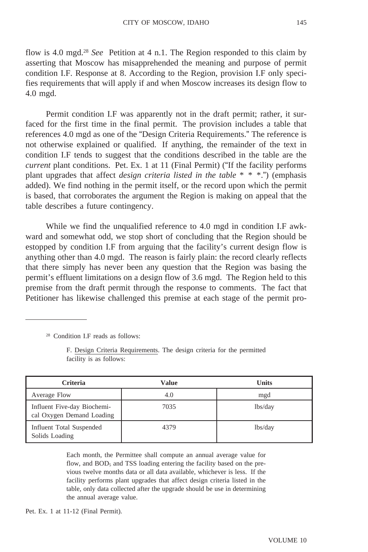flow is 4.0 mgd.28 *See* Petition at 4 n.1. The Region responded to this claim by asserting that Moscow has misapprehended the meaning and purpose of permit condition I.F. Response at 8. According to the Region, provision I.F only specifies requirements that will apply if and when Moscow increases its design flow to 4.0 mgd.

Permit condition I.F was apparently not in the draft permit; rather, it surfaced for the first time in the final permit. The provision includes a table that references 4.0 mgd as one of the "Design Criteria Requirements." The reference is not otherwise explained or qualified. If anything, the remainder of the text in condition I.F tends to suggest that the conditions described in the table are the *current* plant conditions. Pet. Ex. 1 at 11 (Final Permit) ("If the facility performs plant upgrades that affect *design criteria listed in the table* \* \* \*.") (emphasis added). We find nothing in the permit itself, or the record upon which the permit is based, that corroborates the argument the Region is making on appeal that the table describes a future contingency.

While we find the unqualified reference to 4.0 mgd in condition I.F awkward and somewhat odd, we stop short of concluding that the Region should be estopped by condition I.F from arguing that the facility's current design flow is anything other than 4.0 mgd. The reason is fairly plain: the record clearly reflects that there simply has never been any question that the Region was basing the permit's effluent limitations on a design flow of 3.6 mgd. The Region held to this premise from the draft permit through the response to comments. The fact that Petitioner has likewise challenged this premise at each stage of the permit pro-

<sup>28</sup> Condition I.F reads as follows:

F. Design Criteria Requirements. The design criteria for the permitted facility is as follows:

| <b>Criteria</b>                                          | Value | <b>Units</b> |
|----------------------------------------------------------|-------|--------------|
| Average Flow                                             | 4.0   | mgd          |
| Influent Five-day Biochemi-<br>cal Oxygen Demand Loading | 7035  | lbs/day      |
| <b>Influent Total Suspended</b><br>Solids Loading        | 4379  | lbs/day      |

Each month, the Permittee shall compute an annual average value for flow, and  $BOD<sub>5</sub>$  and TSS loading entering the facility based on the previous twelve months data or all data available, whichever is less. If the facility performs plant upgrades that affect design criteria listed in the table, only data collected after the upgrade should be use in determining the annual average value.

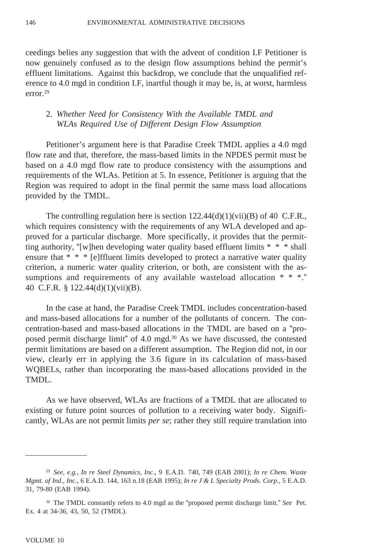ceedings belies any suggestion that with the advent of condition I.F Petitioner is now genuinely confused as to the design flow assumptions behind the permit's effluent limitations. Against this backdrop, we conclude that the unqualified reference to 4.0 mgd in condition I.F, inartful though it may be, is, at worst, harmless error.29

# 2. *Whether Need for Consistency With the Available TMDL and WLAs Required Use of Different Design Flow Assumption*

Petitioner's argument here is that Paradise Creek TMDL applies a 4.0 mgd flow rate and that, therefore, the mass-based limits in the NPDES permit must be based on a 4.0 mgd flow rate to produce consistency with the assumptions and requirements of the WLAs. Petition at 5. In essence, Petitioner is arguing that the Region was required to adopt in the final permit the same mass load allocations provided by the TMDL.

The controlling regulation here is section  $122.44(d)(1)(\n{\rm vii})(B)$  of 40 C.F.R., which requires consistency with the requirements of any WLA developed and approved for a particular discharge. More specifically, it provides that the permitting authority, "[w]hen developing water quality based effluent limits \* \* \* shall ensure that \* \* \* [e]ffluent limits developed to protect a narrative water quality criterion, a numeric water quality criterion, or both, are consistent with the assumptions and requirements of any available wasteload allocation  $* * *$ ." 40 C.F.R. § 122.44(d)(1)(vii)(B).

In the case at hand, the Paradise Creek TMDL includes concentration-based and mass-based allocations for a number of the pollutants of concern. The concentration-based and mass-based allocations in the TMDL are based on a "proposed permit discharge limit" of 4.0 mgd.<sup>30</sup> As we have discussed, the contested permit limitations are based on a different assumption. The Region did not, in our view, clearly err in applying the 3.6 figure in its calculation of mass-based WQBELs, rather than incorporating the mass-based allocations provided in the TMDL.

As we have observed, WLAs are fractions of a TMDL that are allocated to existing or future point sources of pollution to a receiving water body. Significantly, WLAs are not permit limits *per se*; rather they still require translation into

<sup>29</sup> *See, e.g., In re Steel Dynamics, Inc*., 9 E.A.D. 740, 749 (EAB 2001); *In re Chem. Waste Mgmt. of Ind., Inc.,* 6 E.A.D. 144, 163 n.18 (EAB 1995); *In re J & L Specialty Prods. Corp.*, 5 E.A.D. 31, 79-80 (EAB 1994).

<sup>30</sup> The TMDL constantly refers to 4.0 mgd as the "proposed permit discharge limit*.*" *See* Pet. Ex. 4 at 34-36, 43, 50, 52 (TMDL).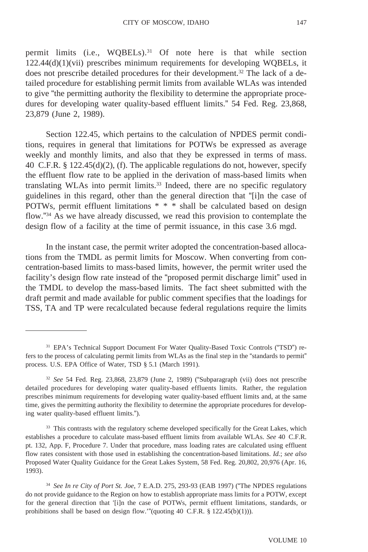permit limits (i.e.,  $WQBELs$ ).<sup>31</sup> Of note here is that while section 122.44(d)(1)(vii) prescribes minimum requirements for developing WQBELs, it does not prescribe detailed procedures for their development.<sup>32</sup> The lack of a detailed procedure for establishing permit limits from available WLAs was intended to give "the permitting authority the flexibility to determine the appropriate procedures for developing water quality-based effluent limits." 54 Fed. Reg. 23,868, 23,879 (June 2, 1989).

Section 122.45, which pertains to the calculation of NPDES permit conditions, requires in general that limitations for POTWs be expressed as average weekly and monthly limits, and also that they be expressed in terms of mass. 40 C.F.R. § 122.45(d)(2), (f). The applicable regulations do not, however, specify the effluent flow rate to be applied in the derivation of mass-based limits when translating WLAs into permit limits.33 Indeed, there are no specific regulatory guidelines in this regard, other than the general direction that "[i]n the case of POTWs, permit effluent limitations \* \* \* shall be calculated based on design flow."34 As we have already discussed, we read this provision to contemplate the design flow of a facility at the time of permit issuance, in this case 3.6 mgd.

In the instant case, the permit writer adopted the concentration-based allocations from the TMDL as permit limits for Moscow. When converting from concentration-based limits to mass-based limits, however, the permit writer used the facility's design flow rate instead of the "proposed permit discharge limit" used in the TMDL to develop the mass-based limits. The fact sheet submitted with the draft permit and made available for public comment specifies that the loadings for TSS, TA and TP were recalculated because federal regulations require the limits

<sup>31</sup> EPA's Technical Support Document For Water Quality-Based Toxic Controls ("TSD") refers to the process of calculating permit limits from WLAs as the final step in the "standards to permit" process. U.S. EPA Office of Water, TSD § 5.1 (March 1991).

<sup>32</sup> *See* 54 Fed. Reg. 23,868, 23,879 (June 2, 1989) ("Subparagraph (vii) does not prescribe detailed procedures for developing water quality-based effluents limits. Rather, the regulation prescribes minimum requirements for developing water quality-based effluent limits and, at the same time, gives the permitting authority the flexibility to determine the appropriate procedures for developing water quality-based effluent limits.").

<sup>&</sup>lt;sup>33</sup> This contrasts with the regulatory scheme developed specifically for the Great Lakes, which establishes a procedure to calculate mass-based effluent limits from available WLAs. *See* 40 C.F.R. pt. 132, App. F, Procedure 7. Under that procedure, mass loading rates are calculated using effluent flow rates consistent with those used in establishing the concentration-based limitations. *Id.*; *see also* Proposed Water Quality Guidance for the Great Lakes System, 58 Fed. Reg. 20,802, 20,976 (Apr. 16, 1993).

<sup>34</sup> *See In re City of Port St. Joe*, 7 E.A.D. 275, 293-93 (EAB 1997) ("The NPDES regulations do not provide guidance to the Region on how to establish appropriate mass limits for a POTW, except for the general direction that '[i]n the case of POTWs, permit effluent limitations, standards, or prohibitions shall be based on design flow."(quoting 40 C.F.R. § 122.45(b)(1))).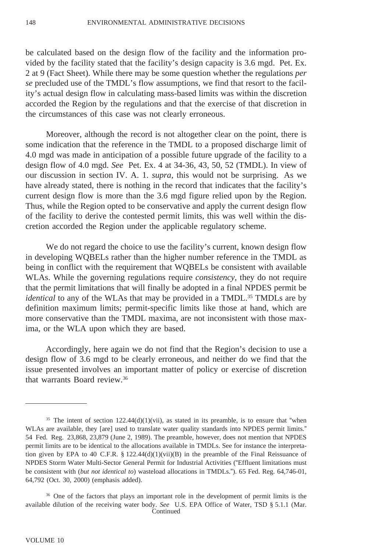be calculated based on the design flow of the facility and the information provided by the facility stated that the facility's design capacity is 3.6 mgd. Pet. Ex. 2 at 9 (Fact Sheet). While there may be some question whether the regulations *per se* precluded use of the TMDL's flow assumptions, we find that resort to the facility's actual design flow in calculating mass-based limits was within the discretion accorded the Region by the regulations and that the exercise of that discretion in the circumstances of this case was not clearly erroneous.

Moreover, although the record is not altogether clear on the point, there is some indication that the reference in the TMDL to a proposed discharge limit of 4.0 mgd was made in anticipation of a possible future upgrade of the facility to a design flow of 4.0 mgd. *See* Pet. Ex. 4 at 34-36, 43, 50, 52 (TMDL). In view of our discussion in section IV. A. 1. *supra*, this would not be surprising. As we have already stated, there is nothing in the record that indicates that the facility's current design flow is more than the 3.6 mgd figure relied upon by the Region. Thus, while the Region opted to be conservative and apply the current design flow of the facility to derive the contested permit limits, this was well within the discretion accorded the Region under the applicable regulatory scheme.

We do not regard the choice to use the facility's current, known design flow in developing WQBELs rather than the higher number reference in the TMDL as being in conflict with the requirement that WQBELs be consistent with available WLAs. While the governing regulations require *consistency*, they do not require that the permit limitations that will finally be adopted in a final NPDES permit be *identical* to any of the WLAs that may be provided in a TMDL.<sup>35</sup> TMDLs are by definition maximum limits; permit-specific limits like those at hand, which are more conservative than the TMDL maxima, are not inconsistent with those maxima, or the WLA upon which they are based.

Accordingly, here again we do not find that the Region's decision to use a design flow of 3.6 mgd to be clearly erroneous, and neither do we find that the issue presented involves an important matter of policy or exercise of discretion that warrants Board review.36

<sup>&</sup>lt;sup>35</sup> The intent of section  $122.44(d)(1)(vii)$ , as stated in its preamble, is to ensure that "when WLAs are available, they [are] used to translate water quality standards into NPDES permit limits." 54 Fed. Reg. 23,868, 23,879 (June 2, 1989). The preamble, however, does not mention that NPDES permit limits are to be identical to the allocations available in TMDLs. See for instance the interpretation given by EPA to 40 C.F.R. § 122.44(d)(1)(vii)(B) in the preamble of the Final Reissuance of NPDES Storm Water Multi-Sector General Permit for Industrial Activities ("Effluent limitations must be consistent with (*but not identical to*) wasteload allocations in TMDLs."). 65 Fed. Reg. 64,746-01, 64,792 (Oct. 30, 2000) (emphasis added).

<sup>&</sup>lt;sup>36</sup> One of the factors that plays an important role in the development of permit limits is the available dilution of the receiving water body. *See* U.S. EPA Office of Water, TSD § 5.1.1 (Mar. **Continued**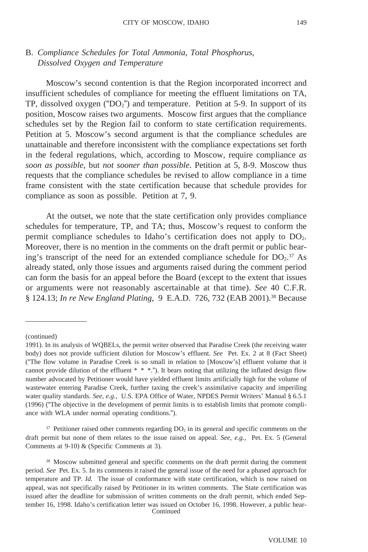# B. *Compliance Schedules for Total Ammonia, Total Phosphorus, Dissolved Oxygen and Temperature*

Moscow's second contention is that the Region incorporated incorrect and insufficient schedules of compliance for meeting the effluent limitations on TA, TP, dissolved oxygen (" $DO<sub>2</sub>$ ") and temperature. Petition at 5-9. In support of its position, Moscow raises two arguments. Moscow first argues that the compliance schedules set by the Region fail to conform to state certification requirements. Petition at 5. Moscow's second argument is that the compliance schedules are unattainable and therefore inconsistent with the compliance expectations set forth in the federal regulations, which, according to Moscow, require compliance *as soon as possible,* but *not sooner than possible*. Petition at 5, 8-9. Moscow thus requests that the compliance schedules be revised to allow compliance in a time frame consistent with the state certification because that schedule provides for compliance as soon as possible. Petition at 7, 9.

At the outset, we note that the state certification only provides compliance schedules for temperature, TP, and TA; thus, Moscow's request to conform the permit compliance schedules to Idaho's certification does not apply to DO2. Moreover, there is no mention in the comments on the draft permit or public hearing's transcript of the need for an extended compliance schedule for  $DO<sub>2</sub>$ .<sup>37</sup> As already stated, only those issues and arguments raised during the comment period can form the basis for an appeal before the Board (except to the extent that issues or arguments were not reasonably ascertainable at that time). *See* 40 C.F.R. § 124.13; *In re New England Plating*, 9 E.A.D. 726, 732 (EAB 2001).38 Because

 $37$  Petitioner raised other comments regarding  $DO<sub>2</sub>$  in its general and specific comments on the draft permit but none of them relates to the issue raised on appeal. *See, e.g.,* Pet. Ex. 5 (General Comments at 9-10) & (Specific Comments at 3).

<sup>(</sup>continued)

<sup>1991).</sup> In its analysis of WQBELs, the permit writer observed that Paradise Creek (the receiving water body) does not provide sufficient dilution for Moscow's effluent. *See* Pet. Ex. 2 at 8 (Fact Sheet) ("The flow volume in Paradise Creek is so small in relation to [Moscow's] effluent volume that it cannot provide dilution of the effluent  $* * *$ ."). It bears noting that utilizing the inflated design flow number advocated by Petitioner would have yielded effluent limits artificially high for the volume of wastewater entering Paradise Creek, further taxing the creek's assimilative capacity and imperiling water quality standards. *See, e.g.,* U.S. EPA Office of Water, NPDES Permit Writers' Manual § 6.5.1 (1996) ("The objective in the development of permit limits is to establish limits that promote compliance with WLA under normal operating conditions.").

<sup>&</sup>lt;sup>38</sup> Moscow submitted general and specific comments on the draft permit during the comment period. *See* Pet. Ex. 5. In its comments it raised the general issue of the need for a phased approach for temperature and TP. *Id.* The issue of conformance with state certification, which is now raised on appeal, was not specifically raised by Petitioner in its written comments. The State certification was issued after the deadline for submission of written comments on the draft permit, which ended September 16, 1998. Idaho's certification letter was issued on October 16, 1998. However, a public hear-Continued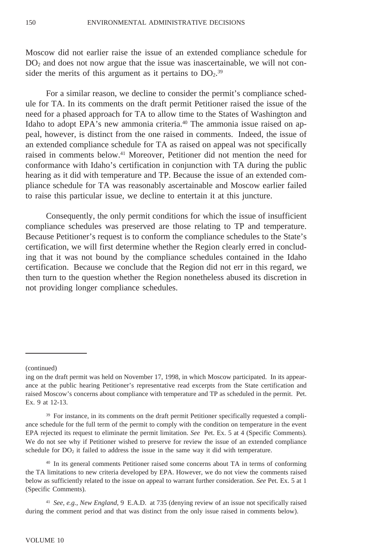Moscow did not earlier raise the issue of an extended compliance schedule for  $DO<sub>2</sub>$  and does not now argue that the issue was inascertainable, we will not consider the merits of this argument as it pertains to  $DO<sub>2</sub>$ .<sup>39</sup>

For a similar reason, we decline to consider the permit's compliance schedule for TA. In its comments on the draft permit Petitioner raised the issue of the need for a phased approach for TA to allow time to the States of Washington and Idaho to adopt EPA's new ammonia criteria.<sup>40</sup> The ammonia issue raised on appeal, however, is distinct from the one raised in comments. Indeed, the issue of an extended compliance schedule for TA as raised on appeal was not specifically raised in comments below.<sup>41</sup> Moreover, Petitioner did not mention the need for conformance with Idaho's certification in conjunction with TA during the public hearing as it did with temperature and TP. Because the issue of an extended compliance schedule for TA was reasonably ascertainable and Moscow earlier failed to raise this particular issue, we decline to entertain it at this juncture.

Consequently, the only permit conditions for which the issue of insufficient compliance schedules was preserved are those relating to TP and temperature. Because Petitioner's request is to conform the compliance schedules to the State's certification, we will first determine whether the Region clearly erred in concluding that it was not bound by the compliance schedules contained in the Idaho certification. Because we conclude that the Region did not err in this regard, we then turn to the question whether the Region nonetheless abused its discretion in not providing longer compliance schedules.

(continued)

ing on the draft permit was held on November 17, 1998, in which Moscow participated. In its appearance at the public hearing Petitioner's representative read excerpts from the State certification and raised Moscow's concerns about compliance with temperature and TP as scheduled in the permit. Pet. Ex. 9 at 12-13.

<sup>&</sup>lt;sup>39</sup> For instance, in its comments on the draft permit Petitioner specifically requested a compliance schedule for the full term of the permit to comply with the condition on temperature in the event EPA rejected its request to eliminate the permit limitation. *See* Pet. Ex. 5 at 4 (Specific Comments). We do not see why if Petitioner wished to preserve for review the issue of an extended compliance schedule for  $DO<sub>2</sub>$  it failed to address the issue in the same way it did with temperature.

<sup>40</sup> In its general comments Petitioner raised some concerns about TA in terms of conforming the TA limitations to new criteria developed by EPA. However, we do not view the comments raised below as sufficiently related to the issue on appeal to warrant further consideration. *See* Pet. Ex. 5 at 1 (Specific Comments).

<sup>41</sup> *See, e.g., New England*, 9 E.A.D. at 735 (denying review of an issue not specifically raised during the comment period and that was distinct from the only issue raised in comments below).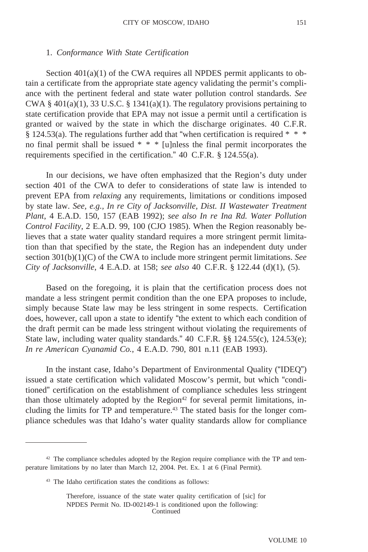### 1. *Conformance With State Certification*

Section 401(a)(1) of the CWA requires all NPDES permit applicants to obtain a certificate from the appropriate state agency validating the permit's compliance with the pertinent federal and state water pollution control standards. *See* CWA §  $401(a)(1)$ , 33 U.S.C. § 1341(a)(1). The regulatory provisions pertaining to state certification provide that EPA may not issue a permit until a certification is granted or waived by the state in which the discharge originates. 40 C.F.R. § 124.53(a). The regulations further add that "when certification is required  $* * *$ no final permit shall be issued \* \* \* [u]nless the final permit incorporates the requirements specified in the certification." 40 C.F.R. § 124.55(a).

In our decisions, we have often emphasized that the Region's duty under section 401 of the CWA to defer to considerations of state law is intended to prevent EPA from *relaxing* any requirements, limitations or conditions imposed by state law. *See, e.g., In re City of Jacksonville, Dist. II Wastewater Treatment Plant*, 4 E.A.D. 150, 157 (EAB 1992); *see also In re Ina Rd. Water Pollution Control Facility*, 2 E.A.D. 99, 100 (CJO 1985). When the Region reasonably believes that a state water quality standard requires a more stringent permit limitation than that specified by the state, the Region has an independent duty under section 301(b)(1)(C) of the CWA to include more stringent permit limitations. *See City of Jacksonville*, 4 E.A.D. at 158; *see also* 40 C.F.R. § 122.44 (d)(1), (5).

Based on the foregoing, it is plain that the certification process does not mandate a less stringent permit condition than the one EPA proposes to include, simply because State law may be less stringent in some respects. Certification does, however, call upon a state to identify "the extent to which each condition of the draft permit can be made less stringent without violating the requirements of State law, including water quality standards." 40 C.F.R. §§ 124.55(c), 124.53(e); *In re American Cyanamid Co.*, 4 E.A.D. 790, 801 n.11 (EAB 1993).

In the instant case, Idaho's Department of Environmental Quality ("IDEQ") issued a state certification which validated Moscow's permit, but which "conditioned" certification on the establishment of compliance schedules less stringent than those ultimately adopted by the Region $42$  for several permit limitations, including the limits for TP and temperature.<sup>43</sup> The stated basis for the longer compliance schedules was that Idaho's water quality standards allow for compliance

<sup>42</sup> The compliance schedules adopted by the Region require compliance with the TP and temperature limitations by no later than March 12, 2004. Pet. Ex. 1 at 6 (Final Permit).

<sup>43</sup> The Idaho certification states the conditions as follows:

Therefore, issuance of the state water quality certification of [sic] for NPDES Permit No. ID-002149-1 is conditioned upon the following: Continued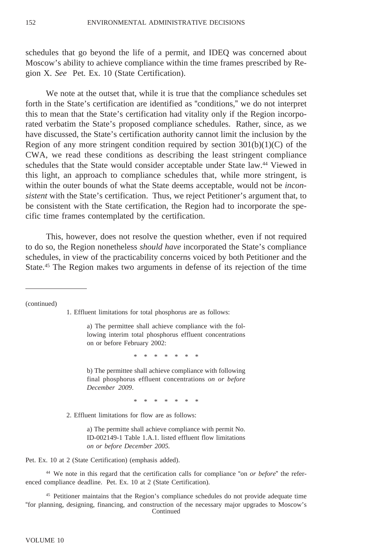schedules that go beyond the life of a permit, and IDEQ was concerned about Moscow's ability to achieve compliance within the time frames prescribed by Region X. *See* Pet. Ex. 10 (State Certification).

We note at the outset that, while it is true that the compliance schedules set forth in the State's certification are identified as "conditions," we do not interpret this to mean that the State's certification had vitality only if the Region incorporated verbatim the State's proposed compliance schedules. Rather, since, as we have discussed, the State's certification authority cannot limit the inclusion by the Region of any more stringent condition required by section  $301(b)(1)(C)$  of the CWA, we read these conditions as describing the least stringent compliance schedules that the State would consider acceptable under State law.44 Viewed in this light, an approach to compliance schedules that, while more stringent, is within the outer bounds of what the State deems acceptable, would not be *inconsistent* with the State's certification. Thus, we reject Petitioner's argument that, to be consistent with the State certification, the Region had to incorporate the specific time frames contemplated by the certification.

This, however, does not resolve the question whether, even if not required to do so, the Region nonetheless *should have* incorporated the State's compliance schedules, in view of the practicability concerns voiced by both Petitioner and the State.45 The Region makes two arguments in defense of its rejection of the time

(continued)

1. Effluent limitations for total phosphorus are as follows:

a) The permittee shall achieve compliance with the following interim total phosphorus effluent concentrations on or before February 2002:

\*\*\*\*\*

b) The permittee shall achieve compliance with following final phosphorus effluent concentrations *on or before December 2009*.

\*\*\*\*\*\*\*

2. Effluent limitations for flow are as follows:

a) The permitte shall achieve compliance with permit No. ID-002149-1 Table 1.A.1. listed effluent flow limitations *on or before December 2005.*

Pet. Ex. 10 at 2 (State Certification) (emphasis added).

<sup>44</sup> We note in this regard that the certification calls for compliance "on *or before*" the referenced compliance deadline. Pet. Ex. 10 at 2 (State Certification).

<sup>45</sup> Petitioner maintains that the Region's compliance schedules do not provide adequate time "for planning, designing, financing, and construction of the necessary major upgrades to Moscow's Continued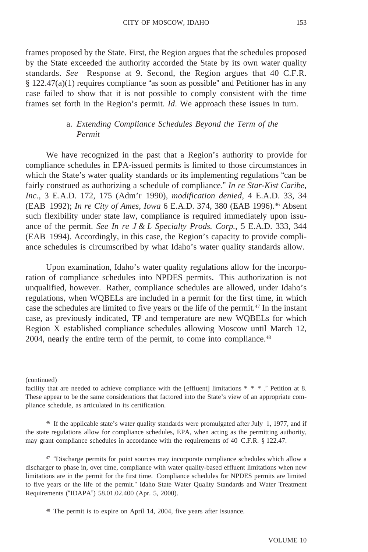frames proposed by the State. First, the Region argues that the schedules proposed by the State exceeded the authority accorded the State by its own water quality standards. *See* Response at 9. Second, the Region argues that 40 C.F.R.  $\S 122.47(a)(1)$  requires compliance "as soon as possible" and Petitioner has in any case failed to show that it is not possible to comply consistent with the time frames set forth in the Region's permit. *Id*. We approach these issues in turn.

### a. *Extending Compliance Schedules Beyond the Term of the Permit*

We have recognized in the past that a Region's authority to provide for compliance schedules in EPA-issued permits is limited to those circumstances in which the State's water quality standards or its implementing regulations "can be fairly construed as authorizing a schedule of compliance." *In re Star-Kist Caribe, Inc.*, 3 E.A.D. 172, 175 (Adm'r 1990), *modification denied*, 4 E.A.D. 33, 34 (EAB 1992); *In re City of Ames*, *Iowa* 6 E.A.D. 374, 380 (EAB 1996).46 Absent such flexibility under state law, compliance is required immediately upon issuance of the permit. *See In re J & L Specialty Prods. Corp.*, 5 E.A.D. 333, 344 (EAB 1994). Accordingly, in this case, the Region's capacity to provide compliance schedules is circumscribed by what Idaho's water quality standards allow.

Upon examination, Idaho's water quality regulations allow for the incorporation of compliance schedules into NPDES permits. This authorization is not unqualified, however. Rather, compliance schedules are allowed, under Idaho's regulations, when WQBELs are included in a permit for the first time, in which case the schedules are limited to five years or the life of the permit.47 In the instant case, as previously indicated, TP and temperature are new WQBELs for which Region X established compliance schedules allowing Moscow until March 12, 2004, nearly the entire term of the permit, to come into compliance.<sup>48</sup>

<sup>(</sup>continued)

facility that are needed to achieve compliance with the [effluent] limitations  $* * *$ ." Petition at 8. These appear to be the same considerations that factored into the State's view of an appropriate compliance schedule, as articulated in its certification.

<sup>46</sup> If the applicable state's water quality standards were promulgated after July 1, 1977, and if the state regulations allow for compliance schedules, EPA, when acting as the permitting authority, may grant compliance schedules in accordance with the requirements of 40 C.F.R. § 122.47.

<sup>47</sup> "Discharge permits for point sources may incorporate compliance schedules which allow a discharger to phase in, over time, compliance with water quality-based effluent limitations when new limitations are in the permit for the first time. Compliance schedules for NPDES permits are limited to five years or the life of the permit." Idaho State Water Quality Standards and Water Treatment Requirements ("IDAPA") 58.01.02.400 (Apr. 5, 2000).

<sup>48</sup> The permit is to expire on April 14, 2004, five years after issuance.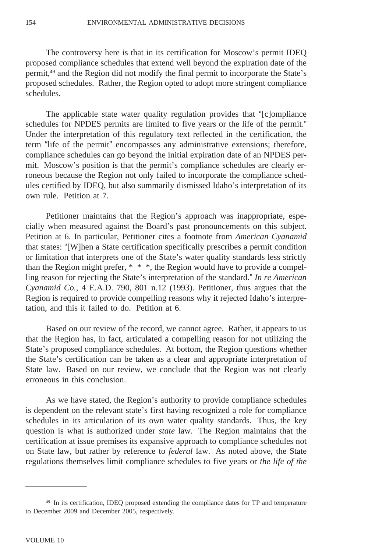The controversy here is that in its certification for Moscow's permit IDEQ proposed compliance schedules that extend well beyond the expiration date of the permit,49 and the Region did not modify the final permit to incorporate the State's proposed schedules. Rather, the Region opted to adopt more stringent compliance schedules.

The applicable state water quality regulation provides that "[c]ompliance schedules for NPDES permits are limited to five years or the life of the permit." Under the interpretation of this regulatory text reflected in the certification, the term "life of the permit" encompasses any administrative extensions; therefore, compliance schedules can go beyond the initial expiration date of an NPDES permit. Moscow's position is that the permit's compliance schedules are clearly erroneous because the Region not only failed to incorporate the compliance schedules certified by IDEQ, but also summarily dismissed Idaho's interpretation of its own rule. Petition at 7.

Petitioner maintains that the Region's approach was inappropriate, especially when measured against the Board's past pronouncements on this subject. Petition at 6. In particular, Petitioner cites a footnote from *American Cyanamid* that states: "[W]hen a State certification specifically prescribes a permit condition or limitation that interprets one of the State's water quality standards less strictly than the Region might prefer, \* \* \*, the Region would have to provide a compelling reason for rejecting the State's interpretation of the standard." *In re American Cyanamid Co.*, 4 E.A.D. 790, 801 n.12 (1993). Petitioner, thus argues that the Region is required to provide compelling reasons why it rejected Idaho's interpretation, and this it failed to do. Petition at 6.

Based on our review of the record, we cannot agree. Rather, it appears to us that the Region has, in fact, articulated a compelling reason for not utilizing the State's proposed compliance schedules. At bottom, the Region questions whether the State's certification can be taken as a clear and appropriate interpretation of State law. Based on our review, we conclude that the Region was not clearly erroneous in this conclusion.

As we have stated, the Region's authority to provide compliance schedules is dependent on the relevant state's first having recognized a role for compliance schedules in its articulation of its own water quality standards. Thus, the key question is what is authorized under *state* law. The Region maintains that the certification at issue premises its expansive approach to compliance schedules not on State law, but rather by reference to *federal* law. As noted above, the State regulations themselves limit compliance schedules to five years or *the life of the*

<sup>&</sup>lt;sup>49</sup> In its certification, IDEQ proposed extending the compliance dates for TP and temperature to December 2009 and December 2005, respectively.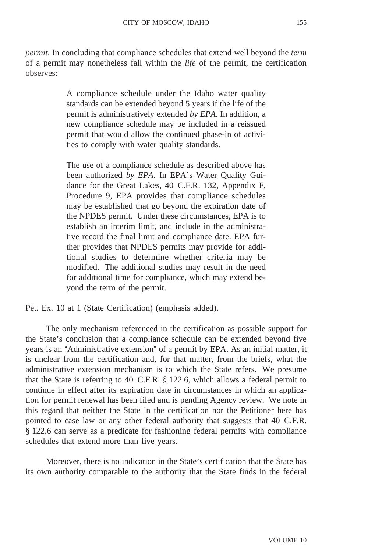*permit*. In concluding that compliance schedules that extend well beyond the *term* of a permit may nonetheless fall within the *life* of the permit, the certification observes:

> A compliance schedule under the Idaho water quality standards can be extended beyond 5 years if the life of the permit is administratively extended *by EPA*. In addition, a new compliance schedule may be included in a reissued permit that would allow the continued phase-in of activities to comply with water quality standards.

> The use of a compliance schedule as described above has been authorized *by EPA*. In EPA's Water Quality Guidance for the Great Lakes, 40 C.F.R. 132, Appendix F, Procedure 9, EPA provides that compliance schedules may be established that go beyond the expiration date of the NPDES permit. Under these circumstances, EPA is to establish an interim limit, and include in the administrative record the final limit and compliance date. EPA further provides that NPDES permits may provide for additional studies to determine whether criteria may be modified. The additional studies may result in the need for additional time for compliance, which may extend beyond the term of the permit.

Pet. Ex. 10 at 1 (State Certification) (emphasis added).

The only mechanism referenced in the certification as possible support for the State's conclusion that a compliance schedule can be extended beyond five years is an "Administrative extension" of a permit by EPA. As an initial matter, it is unclear from the certification and, for that matter, from the briefs, what the administrative extension mechanism is to which the State refers. We presume that the State is referring to 40 C.F.R. § 122.6, which allows a federal permit to continue in effect after its expiration date in circumstances in which an application for permit renewal has been filed and is pending Agency review. We note in this regard that neither the State in the certification nor the Petitioner here has pointed to case law or any other federal authority that suggests that 40 C.F.R. § 122.6 can serve as a predicate for fashioning federal permits with compliance schedules that extend more than five years.

Moreover, there is no indication in the State's certification that the State has its own authority comparable to the authority that the State finds in the federal

VOLUME 10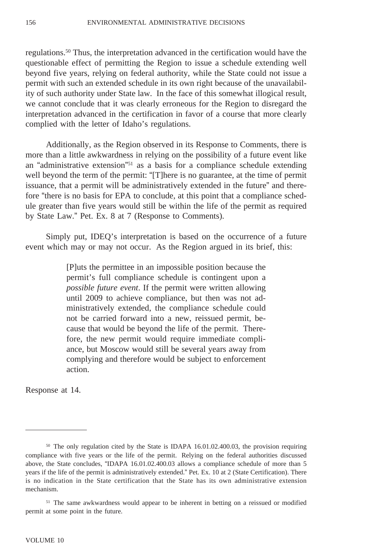regulations.50 Thus, the interpretation advanced in the certification would have the questionable effect of permitting the Region to issue a schedule extending well beyond five years, relying on federal authority, while the State could not issue a permit with such an extended schedule in its own right because of the unavailability of such authority under State law. In the face of this somewhat illogical result, we cannot conclude that it was clearly erroneous for the Region to disregard the interpretation advanced in the certification in favor of a course that more clearly complied with the letter of Idaho's regulations.

Additionally, as the Region observed in its Response to Comments, there is more than a little awkwardness in relying on the possibility of a future event like an "administrative extension"51 as a basis for a compliance schedule extending well beyond the term of the permit: "[T]here is no guarantee, at the time of permit issuance, that a permit will be administratively extended in the future" and therefore "there is no basis for EPA to conclude, at this point that a compliance schedule greater than five years would still be within the life of the permit as required by State Law." Pet. Ex. 8 at 7 (Response to Comments).

Simply put, IDEQ's interpretation is based on the occurrence of a future event which may or may not occur. As the Region argued in its brief, this:

> [P]uts the permittee in an impossible position because the permit's full compliance schedule is contingent upon a *possible future event*. If the permit were written allowing until 2009 to achieve compliance, but then was not administratively extended, the compliance schedule could not be carried forward into a new, reissued permit, because that would be beyond the life of the permit. Therefore, the new permit would require immediate compliance, but Moscow would still be several years away from complying and therefore would be subject to enforcement action.

Response at 14.

<sup>50</sup> The only regulation cited by the State is IDAPA 16.01.02.400.03, the provision requiring compliance with five years or the life of the permit. Relying on the federal authorities discussed above, the State concludes, "IDAPA 16.01.02.400.03 allows a compliance schedule of more than 5 years if the life of the permit is administratively extended." Pet. Ex. 10 at 2 (State Certification). There is no indication in the State certification that the State has its own administrative extension mechanism.

<sup>&</sup>lt;sup>51</sup> The same awkwardness would appear to be inherent in betting on a reissued or modified permit at some point in the future.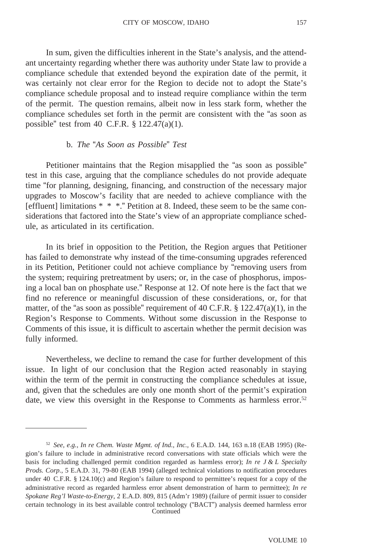In sum, given the difficulties inherent in the State's analysis, and the attendant uncertainty regarding whether there was authority under State law to provide a compliance schedule that extended beyond the expiration date of the permit, it was certainly not clear error for the Region to decide not to adopt the State's compliance schedule proposal and to instead require compliance within the term of the permit. The question remains, albeit now in less stark form, whether the compliance schedules set forth in the permit are consistent with the "as soon as possible" test from 40 C.F.R. § 122.47(a)(1).

### b. *The* "*As Soon as Possible*" *Test*

Petitioner maintains that the Region misapplied the "as soon as possible" test in this case, arguing that the compliance schedules do not provide adequate time "for planning, designing, financing, and construction of the necessary major upgrades to Moscow's facility that are needed to achieve compliance with the [effluent] limitations \* \* \*." Petition at 8. Indeed, these seem to be the same considerations that factored into the State's view of an appropriate compliance schedule, as articulated in its certification.

In its brief in opposition to the Petition, the Region argues that Petitioner has failed to demonstrate why instead of the time-consuming upgrades referenced in its Petition, Petitioner could not achieve compliance by "removing users from the system; requiring pretreatment by users; or, in the case of phosphorus, imposing a local ban on phosphate use." Response at 12. Of note here is the fact that we find no reference or meaningful discussion of these considerations, or, for that matter, of the "as soon as possible" requirement of 40 C.F.R. § 122.47(a)(1), in the Region's Response to Comments. Without some discussion in the Response to Comments of this issue, it is difficult to ascertain whether the permit decision was fully informed.

Nevertheless, we decline to remand the case for further development of this issue. In light of our conclusion that the Region acted reasonably in staying within the term of the permit in constructing the compliance schedules at issue, and, given that the schedules are only one month short of the permit's expiration date, we view this oversight in the Response to Comments as harmless error.<sup>52</sup>

<sup>52</sup> *See, e.g.*, *In re Chem. Waste Mgmt. of Ind., Inc.,* 6 E.A.D. 144, 163 n.18 (EAB 1995) (Region's failure to include in administrative record conversations with state officials which were the basis for including challenged permit condition regarded as harmless error); *In re J & L Specialty Prods. Corp.*, 5 E.A.D. 31, 79-80 (EAB 1994) (alleged technical violations to notification procedures under 40 C.F.R. § 124.10(c) and Region's failure to respond to permittee's request for a copy of the administrative record as regarded harmless error absent demonstration of harm to permittee); *In re Spokane Reg'l Waste-to-Energy*, 2 E.A.D. 809, 815 (Adm'r 1989) (failure of permit issuer to consider certain technology in its best available control technology ("BACT") analysis deemed harmless error Continued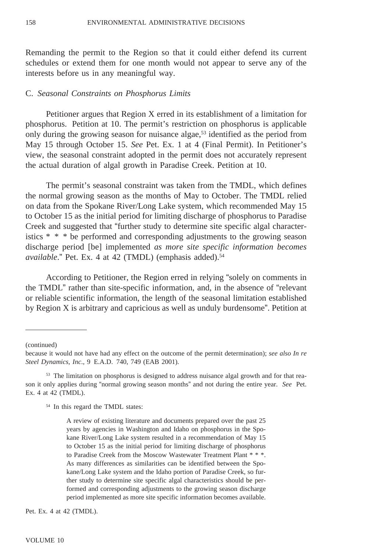Remanding the permit to the Region so that it could either defend its current schedules or extend them for one month would not appear to serve any of the interests before us in any meaningful way.

#### C. *Seasonal Constraints on Phosphorus Limits*

Petitioner argues that Region X erred in its establishment of a limitation for phosphorus. Petition at 10. The permit's restriction on phosphorus is applicable only during the growing season for nuisance algae,<sup>53</sup> identified as the period from May 15 through October 15. *See* Pet. Ex. 1 at 4 (Final Permit). In Petitioner's view, the seasonal constraint adopted in the permit does not accurately represent the actual duration of algal growth in Paradise Creek. Petition at 10.

The permit's seasonal constraint was taken from the TMDL, which defines the normal growing season as the months of May to October. The TMDL relied on data from the Spokane River/Long Lake system, which recommended May 15 to October 15 as the initial period for limiting discharge of phosphorus to Paradise Creek and suggested that "further study to determine site specific algal characteristics \* \* \* be performed and corresponding adjustments to the growing season discharge period [be] implemented *as more site specific information becomes available*." Pet. Ex. 4 at 42 (TMDL) (emphasis added).<sup>54</sup>

According to Petitioner, the Region erred in relying "solely on comments in the TMDL" rather than site-specific information, and, in the absence of "relevant or reliable scientific information, the length of the seasonal limitation established by Region X is arbitrary and capricious as well as unduly burdensome". Petition at

(continued)

<sup>54</sup> In this regard the TMDL states:

A review of existing literature and documents prepared over the past 25 years by agencies in Washington and Idaho on phosphorus in the Spokane River/Long Lake system resulted in a recommendation of May 15 to October 15 as the initial period for limiting discharge of phosphorus to Paradise Creek from the Moscow Wastewater Treatment Plant \* \* \*. As many differences as similarities can be identified between the Spokane/Long Lake system and the Idaho portion of Paradise Creek, so further study to determine site specific algal characteristics should be performed and corresponding adjustments to the growing season discharge period implemented as more site specific information becomes available.

Pet. Ex. 4 at 42 (TMDL).

because it would not have had any effect on the outcome of the permit determination); *see also In re Steel Dynamics, Inc*., 9 E.A.D. 740, 749 (EAB 2001).

<sup>53</sup> The limitation on phosphorus is designed to address nuisance algal growth and for that reason it only applies during "normal growing season months" and not during the entire year. *See* Pet. Ex. 4 at 42 (TMDL).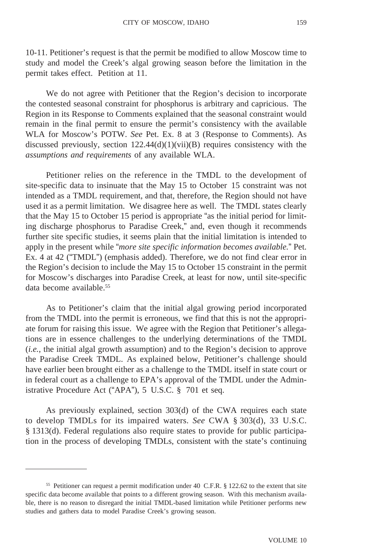10-11. Petitioner's request is that the permit be modified to allow Moscow time to study and model the Creek's algal growing season before the limitation in the permit takes effect. Petition at 11.

We do not agree with Petitioner that the Region's decision to incorporate the contested seasonal constraint for phosphorus is arbitrary and capricious. The Region in its Response to Comments explained that the seasonal constraint would remain in the final permit to ensure the permit's consistency with the available WLA for Moscow's POTW. *See* Pet. Ex. 8 at 3 (Response to Comments). As discussed previously, section  $122.44(d)(1)(vi)(B)$  requires consistency with the *assumptions and requirements* of any available WLA.

Petitioner relies on the reference in the TMDL to the development of site-specific data to insinuate that the May 15 to October 15 constraint was not intended as a TMDL requirement, and that, therefore, the Region should not have used it as a permit limitation. We disagree here as well. The TMDL states clearly that the May 15 to October 15 period is appropriate "as the initial period for limiting discharge phosphorus to Paradise Creek," and, even though it recommends further site specific studies, it seems plain that the initial limitation is intended to apply in the present while "*more site specific information becomes available.*" Pet. Ex. 4 at 42 ("TMDL") (emphasis added). Therefore, we do not find clear error in the Region's decision to include the May 15 to October 15 constraint in the permit for Moscow's discharges into Paradise Creek, at least for now, until site-specific data become available.<sup>55</sup>

As to Petitioner's claim that the initial algal growing period incorporated from the TMDL into the permit is erroneous, we find that this is not the appropriate forum for raising this issue. We agree with the Region that Petitioner's allegations are in essence challenges to the underlying determinations of the TMDL (*i.e.*, the initial algal growth assumption) and to the Region's decision to approve the Paradise Creek TMDL. As explained below, Petitioner's challenge should have earlier been brought either as a challenge to the TMDL itself in state court or in federal court as a challenge to EPA's approval of the TMDL under the Administrative Procedure Act ("APA"), 5 U.S.C. § 701 et seq.

As previously explained, section 303(d) of the CWA requires each state to develop TMDLs for its impaired waters. *See* CWA § 303(d), 33 U.S.C. § 1313(d). Federal regulations also require states to provide for public participation in the process of developing TMDLs, consistent with the state's continuing

<sup>55</sup> Petitioner can request a permit modification under 40 C.F.R. § 122.62 to the extent that site specific data become available that points to a different growing season. With this mechanism available, there is no reason to disregard the initial TMDL-based limitation while Petitioner performs new studies and gathers data to model Paradise Creek's growing season.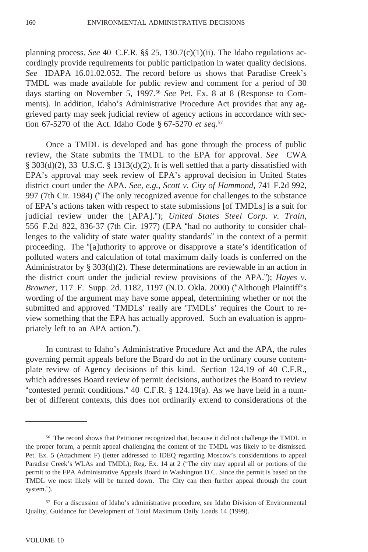planning process. *See* 40 C.F.R. §§ 25, 130.7(c)(1)(ii). The Idaho regulations accordingly provide requirements for public participation in water quality decisions. *See* IDAPA 16.01.02.052. The record before us shows that Paradise Creek's TMDL was made available for public review and comment for a period of 30 days starting on November 5, 1997.56 *See* Pet. Ex. 8 at 8 (Response to Comments). In addition, Idaho's Administrative Procedure Act provides that any aggrieved party may seek judicial review of agency actions in accordance with section 67-5270 of the Act. Idaho Code § 67-5270 *et seq*. 57

Once a TMDL is developed and has gone through the process of public review, the State submits the TMDL to the EPA for approval. *See* CWA  $\S$  303(d)(2), 33 U.S.C.  $\S$  1313(d)(2). It is well settled that a party dissatisfied with EPA's approval may seek review of EPA's approval decision in United States district court under the APA. *See, e.g., Scott v. City of Hammond*, 741 F.2d 992, 997 (7th Cir. 1984) ("The only recognized avenue for challenges to the substance of EPA's actions taken with respect to state submissions [of TMDLs] is a suit for judicial review under the [APA]."); *United States Steel Corp. v. Train,* 556 F.2d 822, 836-37 (7th Cir. 1977) (EPA "had no authority to consider challenges to the validity of state water quality standards" in the context of a permit proceeding. The "[a]uthority to approve or disapprove a state's identification of polluted waters and calculation of total maximum daily loads is conferred on the Administrator by  $\S 303(d)(2)$ . These determinations are reviewable in an action in the district court under the judicial review provisions of the APA."); *Hayes v. Browner*, 117 F. Supp. 2d. 1182, 1197 (N.D. Okla. 2000) ("Although Plaintiff's wording of the argument may have some appeal, determining whether or not the submitted and approved 'TMDLs' really are 'TMDLs' requires the Court to review something that the EPA has actually approved. Such an evaluation is appropriately left to an APA action.").

In contrast to Idaho's Administrative Procedure Act and the APA, the rules governing permit appeals before the Board do not in the ordinary course contemplate review of Agency decisions of this kind. Section 124.19 of 40 C.F.R., which addresses Board review of permit decisions, authorizes the Board to review "contested permit conditions." 40 C.F.R. § 124.19(a). As we have held in a number of different contexts, this does not ordinarily extend to considerations of the

<sup>&</sup>lt;sup>56</sup> The record shows that Petitioner recognized that, because it did not challenge the TMDL in the proper forum, a permit appeal challenging the content of the TMDL was likely to be dismissed. Pet. Ex. 5 (Attachment F) (letter addressed to IDEQ regarding Moscow's considerations to appeal Paradise Creek's WLAs and TMDL); Reg. Ex. 14 at 2 ("The city may appeal all or portions of the permit to the EPA Administrative Appeals Board in Washington D.C. Since the permit is based on the TMDL we most likely will be turned down. The City can then further appeal through the court system.").

<sup>57</sup> For a discussion of Idaho's administrative procedure, see Idaho Division of Environmental Quality, Guidance for Development of Total Maximum Daily Loads 14 (1999).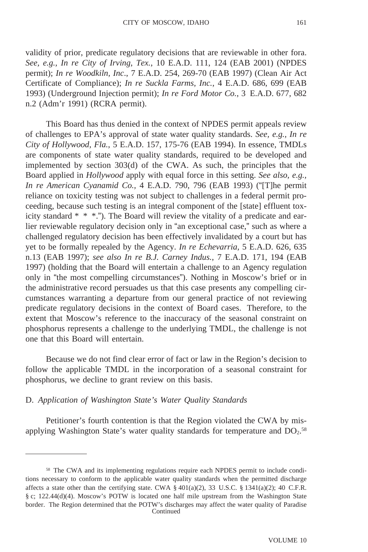validity of prior, predicate regulatory decisions that are reviewable in other fora. *See, e.g., In re City of Irving, Tex.*, 10 E.A.D. 111, 124 (EAB 2001) (NPDES permit); *In re Woodkiln, Inc*., 7 E.A.D. 254, 269-70 (EAB 1997) (Clean Air Act Certificate of Compliance); *In re Suckla Farms, Inc.*, 4 E.A.D. 686, 699 (EAB 1993) (Underground Injection permit); *In re Ford Motor Co.*, 3 E.A.D. 677, 682 n.2 (Adm'r 1991) (RCRA permit).

This Board has thus denied in the context of NPDES permit appeals review of challenges to EPA's approval of state water quality standards. *See, e.g., In re City of Hollywood, Fla.*, 5 E.A.D. 157, 175-76 (EAB 1994). In essence, TMDLs are components of state water quality standards, required to be developed and implemented by section 303(d) of the CWA. As such, the principles that the Board applied in *Hollywood* apply with equal force in this setting. *See also, e.g., In re American Cyanamid Co.,* 4 E.A.D. 790, 796 (EAB 1993) ("[T]he permit reliance on toxicity testing was not subject to challenges in a federal permit proceeding, because such testing is an integral component of the [state] effluent toxicity standard  $* * *$ ."). The Board will review the vitality of a predicate and earlier reviewable regulatory decision only in "an exceptional case," such as where a challenged regulatory decision has been effectively invalidated by a court but has yet to be formally repealed by the Agency. *In re Echevarria,* 5 E.A.D. 626, 635 n.13 (EAB 1997); *see also In re B.J. Carney Indus.*, 7 E.A.D. 171, 194 (EAB 1997) (holding that the Board will entertain a challenge to an Agency regulation only in "the most compelling circumstances"). Nothing in Moscow's brief or in the administrative record persuades us that this case presents any compelling circumstances warranting a departure from our general practice of not reviewing predicate regulatory decisions in the context of Board cases. Therefore, to the extent that Moscow's reference to the inaccuracy of the seasonal constraint on phosphorus represents a challenge to the underlying TMDL, the challenge is not one that this Board will entertain.

Because we do not find clear error of fact or law in the Region's decision to follow the applicable TMDL in the incorporation of a seasonal constraint for phosphorus, we decline to grant review on this basis.

#### D. *Application of Washington State's Water Quality Standards*

Petitioner's fourth contention is that the Region violated the CWA by misapplying Washington State's water quality standards for temperature and  $DO<sub>2</sub>$ .<sup>58</sup>

<sup>58</sup> The CWA and its implementing regulations require each NPDES permit to include conditions necessary to conform to the applicable water quality standards when the permitted discharge affects a state other than the certifying state. CWA §  $401(a)(2)$ , 33 U.S.C. § 1341(a)(2); 40 C.F.R. § c; 122.44(d)(4). Moscow's POTW is located one half mile upstream from the Washington State border. The Region determined that the POTW's discharges may affect the water quality of Paradise Continued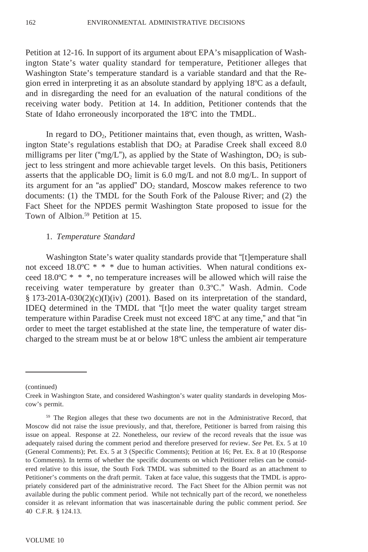Petition at 12-16. In support of its argument about EPA's misapplication of Washington State's water quality standard for temperature, Petitioner alleges that Washington State's temperature standard is a variable standard and that the Region erred in interpreting it as an absolute standard by applying 18ºC as a default, and in disregarding the need for an evaluation of the natural conditions of the receiving water body. Petition at 14. In addition, Petitioner contends that the State of Idaho erroneously incorporated the 18ºC into the TMDL.

In regard to  $DO<sub>2</sub>$ , Petitioner maintains that, even though, as written, Washington State's regulations establish that  $DO<sub>2</sub>$  at Paradise Creek shall exceed 8.0 milligrams per liter ("mg/L"), as applied by the State of Washington,  $DO<sub>2</sub>$  is subject to less stringent and more achievable target levels. On this basis, Petitioners asserts that the applicable  $DO<sub>2</sub>$  limit is 6.0 mg/L and not 8.0 mg/L. In support of its argument for an "as applied"  $DO<sub>2</sub>$  standard, Moscow makes reference to two documents: (1) the TMDL for the South Fork of the Palouse River; and (2) the Fact Sheet for the NPDES permit Washington State proposed to issue for the Town of Albion.<sup>59</sup> Petition at 15.

#### 1. *Temperature Standard*

Washington State's water quality standards provide that "[t]emperature shall not exceed 18.0 $\degree$ C \* \* \* due to human activities. When natural conditions exceed 18.0 $\degree$ C \* \* \*, no temperature increases will be allowed which will raise the receiving water temperature by greater than 0.3ºC." Wash. Admin. Code § 173-201A-030(2)(c)(I)(iv) (2001). Based on its interpretation of the standard, IDEQ determined in the TMDL that "[t]o meet the water quality target stream temperature within Paradise Creek must not exceed 18ºC at any time," and that "in order to meet the target established at the state line, the temperature of water discharged to the stream must be at or below 18ºC unless the ambient air temperature

<sup>(</sup>continued)

Creek in Washington State, and considered Washington's water quality standards in developing Moscow's permit.

<sup>59</sup> The Region alleges that these two documents are not in the Administrative Record, that Moscow did not raise the issue previously, and that, therefore, Petitioner is barred from raising this issue on appeal. Response at 22. Nonetheless, our review of the record reveals that the issue was adequately raised during the comment period and therefore preserved for review. *See* Pet. Ex. 5 at 10 (General Comments); Pet. Ex. 5 at 3 (Specific Comments); Petition at 16; Pet. Ex. 8 at 10 (Response to Comments). In terms of whether the specific documents on which Petitioner relies can be considered relative to this issue, the South Fork TMDL was submitted to the Board as an attachment to Petitioner's comments on the draft permit. Taken at face value, this suggests that the TMDL is appropriately considered part of the administrative record. The Fact Sheet for the Albion permit was not available during the public comment period. While not technically part of the record, we nonetheless consider it as relevant information that was inascertainable during the public comment period. *See* 40 C.F.R. § 124.13.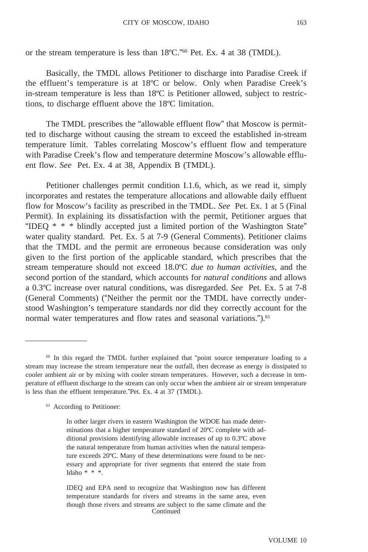or the stream temperature is less than 18ºC."60 Pet. Ex. 4 at 38 (TMDL).

Basically, the TMDL allows Petitioner to discharge into Paradise Creek if the effluent's temperature is at 18ºC or below. Only when Paradise Creek's in-stream temperature is less than 18ºC is Petitioner allowed, subject to restrictions, to discharge effluent above the 18ºC limitation.

The TMDL prescribes the "allowable effluent flow" that Moscow is permitted to discharge without causing the stream to exceed the established in-stream temperature limit. Tables correlating Moscow's effluent flow and temperature with Paradise Creek's flow and temperature determine Moscow's allowable effluent flow. *See* Pet. Ex. 4 at 38, Appendix B (TMDL).

Petitioner challenges permit condition I.1.6, which, as we read it, simply incorporates and restates the temperature allocations and allowable daily effluent flow for Moscow's facility as prescribed in the TMDL. *See* Pet. Ex. 1 at 5 (Final Permit). In explaining its dissatisfaction with the permit, Petitioner argues that "IDEQ \* \* \* blindly accepted just a limited portion of the Washington State" water quality standard. Pet. Ex. 5 at 7-9 (General Comments). Petitioner claims that the TMDL and the permit are erroneous because consideration was only given to the first portion of the applicable standard, which prescribes that the stream temperature should not exceed 18.0ºC *due to human activities*, and the second portion of the standard, which accounts for *natural conditions* and allows a 0.3ºC increase over natural conditions, was disregarded. *See* Pet. Ex. 5 at 7-8 (General Comments) ("Neither the permit nor the TMDL have correctly understood Washington's temperature standards nor did they correctly account for the normal water temperatures and flow rates and seasonal variations.").<sup>61</sup>

<sup>61</sup> According to Petitioner:

<sup>&</sup>lt;sup>60</sup> In this regard the TMDL further explained that "point source temperature loading to a stream may increase the stream temperature near the outfall, then decrease as energy is dissipated to cooler ambient air or by mixing with cooler stream temperatures. However, such a decrease in temperature of effluent discharge to the stream can only occur when the ambient air or stream temperature is less than the effluent temperature."Pet. Ex. 4 at 37 (TMDL).

In other larger rivers in eastern Washington the WDOE has made determinations that a higher temperature standard of 20ºC complete with additional provisions identifying allowable increases of up to 0.3ºC above the natural temperature from human activities when the natural temperature exceeds 20ºC. Many of these determinations were found to be necessary and appropriate for river segments that entered the state from Idaho  $* * *$ .

IDEQ and EPA need to recognize that Washington now has different temperature standards for rivers and streams in the same area, even though those rivers and streams are subject to the same climate and the **Continued**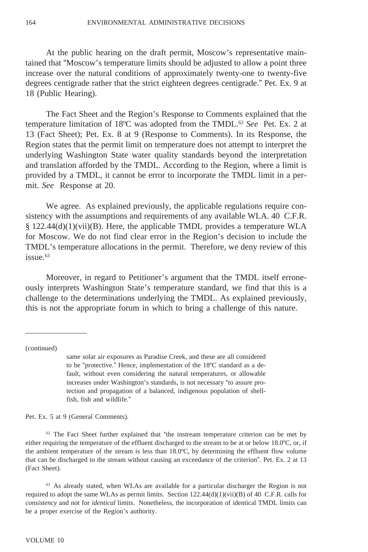At the public hearing on the draft permit, Moscow's representative maintained that "Moscow's temperature limits should be adjusted to allow a point three increase over the natural conditions of approximately twenty-one to twenty-five degrees centigrade rather that the strict eighteen degrees centigrade." Pet. Ex. 9 at 18 (Public Hearing).

The Fact Sheet and the Region's Response to Comments explained that the temperature limitation of 18ºC was adopted from the TMDL.62 *See* Pet. Ex. 2 at 13 (Fact Sheet); Pet. Ex. 8 at 9 (Response to Comments). In its Response, the Region states that the permit limit on temperature does not attempt to interpret the underlying Washington State water quality standards beyond the interpretation and translation afforded by the TMDL. According to the Region, where a limit is provided by a TMDL, it cannot be error to incorporate the TMDL limit in a permit. *See* Response at 20.

We agree. As explained previously, the applicable regulations require consistency with the assumptions and requirements of any available WLA. 40 C.F.R. § 122.44(d)(1)(vii)(B). Here, the applicable TMDL provides a temperature WLA for Moscow. We do not find clear error in the Region's decision to include the TMDL's temperature allocations in the permit. Therefore, we deny review of this issue.<sup>63</sup>

Moreover, in regard to Petitioner's argument that the TMDL itself erroneously interprets Washington State's temperature standard, we find that this is a challenge to the determinations underlying the TMDL. As explained previously, this is not the appropriate forum in which to bring a challenge of this nature.

(continued)

same solar air exposures as Paradise Creek, and these are all considered to be "protective." Hence, implementation of the 18ºC standard as a default, without even considering the natural temperatures, or allowable increases under Washington's standards, is not necessary "to assure protection and propagation of a balanced, indigenous population of shellfish, fish and wildlife."

Pet. Ex. 5 at 9 (General Comments).

 $62$  The Fact Sheet further explained that "the instream temperature criterion can be met by either requiring the temperature of the effluent discharged to the stream to be at or below 18.0ºC, or, if the ambient temperature of the stream is less than 18.0ºC, by determining the effluent flow volume that can be discharged to the stream without causing an exceedance of the criterion". Pet. Ex. 2 at 13 (Fact Sheet).

<sup>63</sup> As already stated, when WLAs are available for a particular discharger the Region is not required to adopt the same WLAs as permit limits. Section  $122.44(d)(1)(vi)(B)$  of 40 C.F.R. calls for *consistency* and not for *identical* limits. Nonetheless, the incorporation of identical TMDL limits can be a proper exercise of the Region's authority.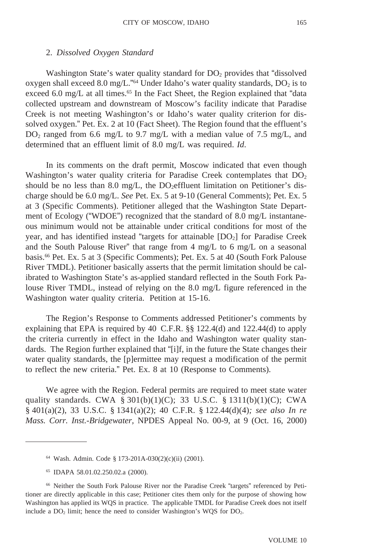### 2. *Dissolved Oxygen Standard*

Washington State's water quality standard for  $DO<sub>2</sub>$  provides that "dissolved" oxygen shall exceed 8.0 mg/L."<sup>64</sup> Under Idaho's water quality standards,  $DO<sub>2</sub>$  is to exceed 6.0 mg/L at all times.<sup>65</sup> In the Fact Sheet, the Region explained that "data collected upstream and downstream of Moscow's facility indicate that Paradise Creek is not meeting Washington's or Idaho's water quality criterion for dissolved oxygen." Pet. Ex. 2 at 10 (Fact Sheet). The Region found that the effluent's  $DO<sub>2</sub>$  ranged from 6.6 mg/L to 9.7 mg/L with a median value of 7.5 mg/L, and determined that an effluent limit of 8.0 mg/L was required. *Id*.

In its comments on the draft permit, Moscow indicated that even though Washington's water quality criteria for Paradise Creek contemplates that  $DO<sub>2</sub>$ should be no less than 8.0 mg/L, the  $DO<sub>2</sub>eff$ luent limitation on Petitioner's discharge should be 6.0 mg/L. *See* Pet. Ex. 5 at 9-10 (General Comments); Pet. Ex. 5 at 3 (Specific Comments). Petitioner alleged that the Washington State Department of Ecology ("WDOE") recognized that the standard of 8.0 mg/L instantaneous minimum would not be attainable under critical conditions for most of the year, and has identified instead "targets for attainable  $[DO<sub>2</sub>]$  for Paradise Creek and the South Palouse River" that range from 4 mg/L to 6 mg/L on a seasonal basis.66 Pet. Ex. 5 at 3 (Specific Comments); Pet. Ex. 5 at 40 (South Fork Palouse River TMDL). Petitioner basically asserts that the permit limitation should be calibrated to Washington State's as-applied standard reflected in the South Fork Palouse River TMDL, instead of relying on the 8.0 mg/L figure referenced in the Washington water quality criteria. Petition at 15-16.

The Region's Response to Comments addressed Petitioner's comments by explaining that EPA is required by 40 C.F.R. §§ 122.4(d) and 122.44(d) to apply the criteria currently in effect in the Idaho and Washington water quality standards. The Region further explained that "[i]f, in the future the State changes their water quality standards, the [p]ermittee may request a modification of the permit to reflect the new criteria." Pet. Ex. 8 at 10 (Response to Comments).

We agree with the Region. Federal permits are required to meet state water quality standards. CWA § 301(b)(1)(C); 33 U.S.C. § 1311(b)(1)(C); CWA § 401(a)(2), 33 U.S.C. § 1341(a)(2); 40 C.F.R. § 122.44(d)(4)*; see also In re Mass. Corr. Inst.-Bridgewater,* NPDES Appeal No. 00-9, at 9 (Oct. 16, 2000)

<sup>64</sup> Wash. Admin. Code § 173-201A-030(2)(c)(ii) (2001).

<sup>65</sup> IDAPA 58.01.02.250.02.a (2000).

<sup>66</sup> Neither the South Fork Palouse River nor the Paradise Creek "targets" referenced by Petitioner are directly applicable in this case; Petitioner cites them only for the purpose of showing how Washington has applied its WQS in practice. The applicable TMDL for Paradise Creek does not itself include a  $DO<sub>2</sub>$  limit; hence the need to consider Washington's WQS for  $DO<sub>2</sub>$ .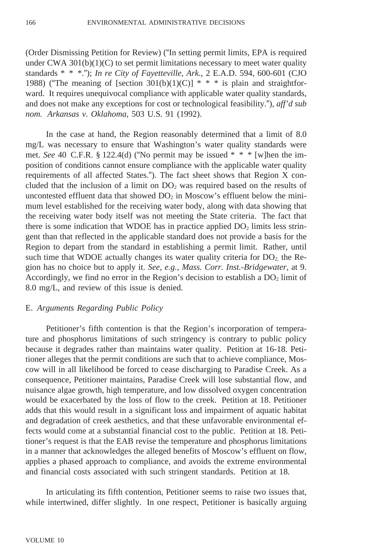(Order Dismissing Petition for Review) ("In setting permit limits, EPA is required under CWA  $301(b)(1)(C)$  to set permit limitations necessary to meet water quality standards \* \* \*."); *In re City of Fayetteville, Ark.*, 2 E.A.D. 594, 600-601 (CJO 1988) ("The meaning of [section 301(b)(1)(C)]  $* * *$  is plain and straightforward. It requires unequivocal compliance with applicable water quality standards, and does not make any exceptions for cost or technological feasibility."), *aff'd sub nom. Arkansas v. Oklahoma*, 503 U.S. 91 (1992).

In the case at hand, the Region reasonably determined that a limit of 8.0 mg/L was necessary to ensure that Washington's water quality standards were met. *See* 40 C.F.R. § 122.4(d) ("No permit may be issued \* \* \* [w]hen the imposition of conditions cannot ensure compliance with the applicable water quality requirements of all affected States."). The fact sheet shows that Region X concluded that the inclusion of a limit on  $DO<sub>2</sub>$  was required based on the results of uncontested effluent data that showed  $DO<sub>2</sub>$  in Moscow's effluent below the minimum level established for the receiving water body, along with data showing that the receiving water body itself was not meeting the State criteria. The fact that there is some indication that WDOE has in practice applied  $DO<sub>2</sub>$  limits less stringent than that reflected in the applicable standard does not provide a basis for the Region to depart from the standard in establishing a permit limit. Rather, until such time that WDOE actually changes its water quality criteria for  $DO<sub>2</sub>$ , the Region has no choice but to apply it. *See, e.g.*, *Mass. Corr. Inst.-Bridgewater*, at 9. Accordingly, we find no error in the Region's decision to establish a  $DO<sub>2</sub>$  limit of 8.0 mg/L, and review of this issue is denied.

#### E. *Arguments Regarding Public Policy*

Petitioner's fifth contention is that the Region's incorporation of temperature and phosphorus limitations of such stringency is contrary to public policy because it degrades rather than maintains water quality. Petition at 16-18. Petitioner alleges that the permit conditions are such that to achieve compliance, Moscow will in all likelihood be forced to cease discharging to Paradise Creek. As a consequence, Petitioner maintains, Paradise Creek will lose substantial flow, and nuisance algae growth, high temperature, and low dissolved oxygen concentration would be exacerbated by the loss of flow to the creek. Petition at 18. Petitioner adds that this would result in a significant loss and impairment of aquatic habitat and degradation of creek aesthetics, and that these unfavorable environmental effects would come at a substantial financial cost to the public. Petition at 18. Petitioner's request is that the EAB revise the temperature and phosphorus limitations in a manner that acknowledges the alleged benefits of Moscow's effluent on flow, applies a phased approach to compliance, and avoids the extreme environmental and financial costs associated with such stringent standards. Petition at 18.

In articulating its fifth contention, Petitioner seems to raise two issues that, while intertwined, differ slightly. In one respect, Petitioner is basically arguing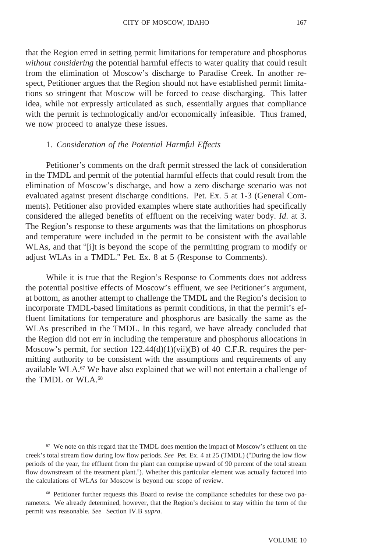that the Region erred in setting permit limitations for temperature and phosphorus *without considering* the potential harmful effects to water quality that could result from the elimination of Moscow's discharge to Paradise Creek. In another respect, Petitioner argues that the Region should not have established permit limitations so stringent that Moscow will be forced to cease discharging. This latter idea, while not expressly articulated as such, essentially argues that compliance with the permit is technologically and/or economically infeasible. Thus framed, we now proceed to analyze these issues.

### 1. *Consideration of the Potential Harmful Effects*

Petitioner's comments on the draft permit stressed the lack of consideration in the TMDL and permit of the potential harmful effects that could result from the elimination of Moscow's discharge, and how a zero discharge scenario was not evaluated against present discharge conditions. Pet. Ex. 5 at 1-3 (General Comments). Petitioner also provided examples where state authorities had specifically considered the alleged benefits of effluent on the receiving water body. *Id*. at 3. The Region's response to these arguments was that the limitations on phosphorus and temperature were included in the permit to be consistent with the available WLAs, and that "[i]t is beyond the scope of the permitting program to modify or adjust WLAs in a TMDL." Pet. Ex. 8 at 5 (Response to Comments).

While it is true that the Region's Response to Comments does not address the potential positive effects of Moscow's effluent, we see Petitioner's argument, at bottom, as another attempt to challenge the TMDL and the Region's decision to incorporate TMDL-based limitations as permit conditions, in that the permit's effluent limitations for temperature and phosphorus are basically the same as the WLAs prescribed in the TMDL. In this regard, we have already concluded that the Region did not err in including the temperature and phosphorus allocations in Moscow's permit, for section 122.44(d)(1)(vii)(B) of 40 C.F.R. requires the permitting authority to be consistent with the assumptions and requirements of any available WLA.67 We have also explained that we will not entertain a challenge of the TMDL or WLA.68

<sup>67</sup> We note on this regard that the TMDL does mention the impact of Moscow's effluent on the creek's total stream flow during low flow periods. *See* Pet. Ex. 4 at 25 (TMDL) ("During the low flow periods of the year, the effluent from the plant can comprise upward of 90 percent of the total stream flow downstream of the treatment plant."). Whether this particular element was actually factored into the calculations of WLAs for Moscow is beyond our scope of review.

<sup>&</sup>lt;sup>68</sup> Petitioner further requests this Board to revise the compliance schedules for these two parameters. We already determined, however, that the Region's decision to stay within the term of the permit was reasonable. *See* Section IV.B *supra*.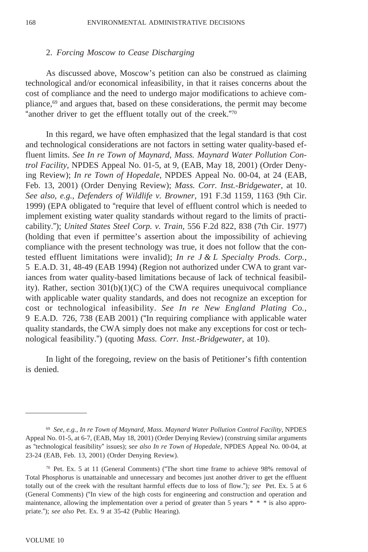#### 2. *Forcing Moscow to Cease Discharging*

As discussed above, Moscow's petition can also be construed as claiming technological and/or economical infeasibility, in that it raises concerns about the cost of compliance and the need to undergo major modifications to achieve compliance,69 and argues that, based on these considerations, the permit may become "another driver to get the effluent totally out of the creek."70

In this regard, we have often emphasized that the legal standard is that cost and technological considerations are not factors in setting water quality-based effluent limits. *See In re Town of Maynard, Mass. Maynard Water Pollution Control Facility*, NPDES Appeal No. 01-5, at 9, (EAB, May 18, 2001) (Order Denying Review); *In re Town of Hopedale*, NPDES Appeal No. 00-04, at 24 (EAB, Feb. 13, 2001) (Order Denying Review); *Mass. Corr. Inst.-Bridgewater*, at 10. *See also, e.g., Defenders of Wildlife v. Browner*, 191 F.3d 1159, 1163 (9th Cir. 1999) (EPA obligated to "require that level of effluent control which is needed to implement existing water quality standards without regard to the limits of practicability."); *United States Steel Corp. v. Train,* 556 F.2d 822, 838 (7th Cir. 1977) (holding that even if permittee's assertion about the impossibility of achieving compliance with the present technology was true, it does not follow that the contested effluent limitations were invalid); *In re J & L Specialty Prods. Corp.*, 5 E.A.D. 31, 48-49 (EAB 1994) (Region not authorized under CWA to grant variances from water quality-based limitations because of lack of technical feasibility). Rather, section  $301(b)(1)(C)$  of the CWA requires unequivocal compliance with applicable water quality standards, and does not recognize an exception for cost or technological infeasibility. *See In re New England Plating Co.*, 9 E.A.D. 726, 738 (EAB 2001) ("In requiring compliance with applicable water quality standards, the CWA simply does not make any exceptions for cost or technological feasibility.") (quoting *Mass. Corr. Inst.-Bridgewater*, at 10).

In light of the foregoing, review on the basis of Petitioner's fifth contention is denied.

<sup>69</sup> *See, e.g., In re Town of Maynard, Mass. Maynard Water Pollution Control Facility*, NPDES Appeal No. 01-5, at 6-7, (EAB, May 18, 2001) (Order Denying Review) (construing similar arguments as "technological feasibility" issues); *see also In re Town of Hopedale*, NPDES Appeal No. 00-04, at 23-24 (EAB, Feb. 13, 2001) (Order Denying Review).

 $70$  Pet. Ex. 5 at 11 (General Comments) ("The short time frame to achieve 98% removal of Total Phosphorus is unattainable and unnecessary and becomes just another driver to get the effluent totally out of the creek with the resultant harmful effects due to loss of flow.")*; see* Pet. Ex. 5 at 6 (General Comments) ("In view of the high costs for engineering and construction and operation and maintenance, allowing the implementation over a period of greater than 5 years \* \* \* is also appropriate."); *see also* Pet. Ex. 9 at 35-42 (Public Hearing).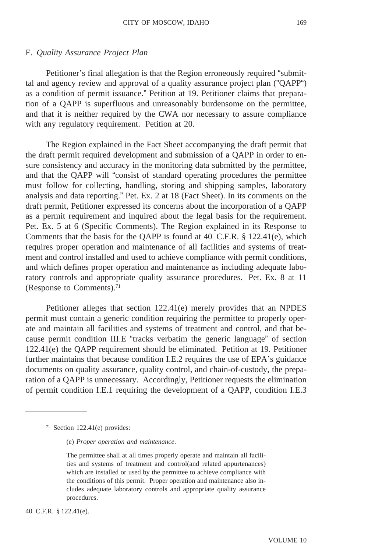#### F. *Quality Assurance Project Plan*

Petitioner's final allegation is that the Region erroneously required "submittal and agency review and approval of a quality assurance project plan ("QAPP") as a condition of permit issuance." Petition at 19. Petitioner claims that preparation of a QAPP is superfluous and unreasonably burdensome on the permittee, and that it is neither required by the CWA nor necessary to assure compliance with any regulatory requirement. Petition at 20.

The Region explained in the Fact Sheet accompanying the draft permit that the draft permit required development and submission of a QAPP in order to ensure consistency and accuracy in the monitoring data submitted by the permittee, and that the QAPP will "consist of standard operating procedures the permittee must follow for collecting, handling, storing and shipping samples, laboratory analysis and data reporting." Pet. Ex. 2 at 18 (Fact Sheet). In its comments on the draft permit, Petitioner expressed its concerns about the incorporation of a QAPP as a permit requirement and inquired about the legal basis for the requirement. Pet. Ex. 5 at 6 (Specific Comments). The Region explained in its Response to Comments that the basis for the QAPP is found at 40 C.F.R.  $\S$  122.41(e), which requires proper operation and maintenance of all facilities and systems of treatment and control installed and used to achieve compliance with permit conditions, and which defines proper operation and maintenance as including adequate laboratory controls and appropriate quality assurance procedures. Pet. Ex. 8 at 11 (Response to Comments).71

Petitioner alleges that section 122.41(e) merely provides that an NPDES permit must contain a generic condition requiring the permittee to properly operate and maintain all facilities and systems of treatment and control, and that because permit condition III.E "tracks verbatim the generic language" of section 122.41(e) the QAPP requirement should be eliminated. Petition at 19. Petitioner further maintains that because condition I.E.2 requires the use of EPA's guidance documents on quality assurance, quality control, and chain-of-custody, the preparation of a QAPP is unnecessary. Accordingly, Petitioner requests the elimination of permit condition I.E.1 requiring the development of a QAPP, condition I.E.3

(e) *Proper operation and maintenance*.

 $71$  Section 122.41(e) provides:

The permittee shall at all times properly operate and maintain all facilities and systems of treatment and control(and related appurtenances) which are installed or used by the permittee to achieve compliance with the conditions of this permit. Proper operation and maintenance also includes adequate laboratory controls and appropriate quality assurance procedures.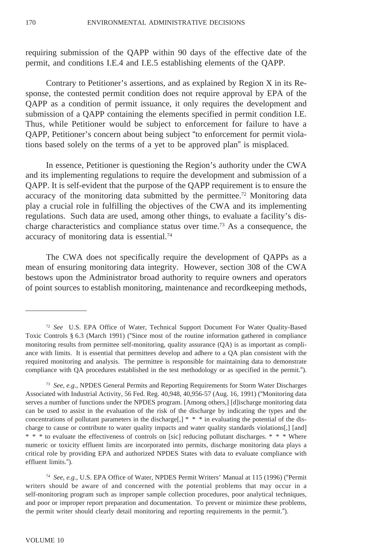requiring submission of the QAPP within 90 days of the effective date of the permit, and conditions I.E.4 and I.E.5 establishing elements of the QAPP.

Contrary to Petitioner's assertions, and as explained by Region X in its Response, the contested permit condition does not require approval by EPA of the QAPP as a condition of permit issuance, it only requires the development and submission of a QAPP containing the elements specified in permit condition I.E. Thus, while Petitioner would be subject to enforcement for failure to have a QAPP, Petitioner's concern about being subject "to enforcement for permit violations based solely on the terms of a yet to be approved plan" is misplaced.

In essence, Petitioner is questioning the Region's authority under the CWA and its implementing regulations to require the development and submission of a QAPP. It is self-evident that the purpose of the QAPP requirement is to ensure the accuracy of the monitoring data submitted by the permittee.<sup>72</sup> Monitoring data play a crucial role in fulfilling the objectives of the CWA and its implementing regulations. Such data are used, among other things, to evaluate a facility's discharge characteristics and compliance status over time.73 As a consequence, the accuracy of monitoring data is essential.74

The CWA does not specifically require the development of QAPPs as a mean of ensuring monitoring data integrity. However, section 308 of the CWA bestows upon the Administrator broad authority to require owners and operators of point sources to establish monitoring, maintenance and recordkeeping methods,

<sup>74</sup> *See, e.g.*, U.S. EPA Office of Water, NPDES Permit Writers' Manual at 115 (1996) ("Permit writers should be aware of and concerned with the potential problems that may occur in a self-monitoring program such as improper sample collection procedures, poor analytical techniques, and poor or improper report preparation and documentation. To prevent or minimize these problems, the permit writer should clearly detail monitoring and reporting requirements in the permit.").

<sup>72</sup> *See* U.S. EPA Office of Water, Technical Support Document For Water Quality-Based Toxic Controls § 6.3 (March 1991) ("Since most of the routine information gathered in compliance monitoring results from permittee self-monitoring, quality assurance (QA) is as important as compliance with limits. It is essential that permittees develop and adhere to a QA plan consistent with the required monitoring and analysis. The permittee is responsible for maintaining data to demonstrate compliance with QA procedures established in the test methodology or as specified in the permit.").

<sup>73</sup> *See, e.g.*, NPDES General Permits and Reporting Requirements for Storm Water Discharges Associated with Industrial Activity, 56 Fed. Reg. 40,948, 40,956-57 (Aug. 16, 1991) ("Monitoring data serves a number of functions under the NPDES program. [Among others,] [d]ischarge monitoring data can be used to assist in the evaluation of the risk of the discharge by indicating the types and the concentrations of pollutant parameters in the discharge[,] \* \* \* in evaluating the potential of the discharge to cause or contribute to water quality impacts and water quality standards violations[,] [and] \* \* \* to evaluate the effectiveness of controls on [sic] reducing pollutant discharges. \* \* \* Where numeric or toxicity effluent limits are incorporated into permits, discharge monitoring data plays a critical role by providing EPA and authorized NPDES States with data to evaluate compliance with effluent limits.").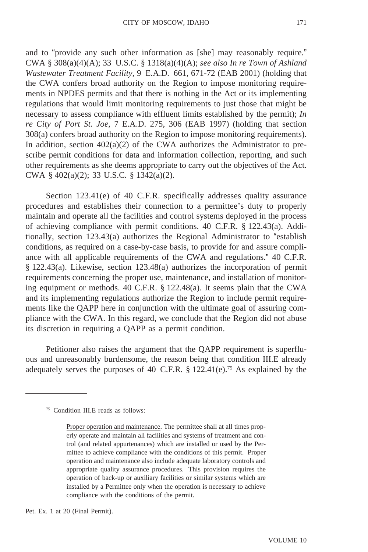and to "provide any such other information as [she] may reasonably require." CWA § 308(a)(4)(A); 33 U.S.C. § 1318(a)(4)(A); *see also In re Town of Ashland Wastewater Treatment Facility*, 9 E.A.D. 661, 671-72 (EAB 2001) (holding that the CWA confers broad authority on the Region to impose monitoring requirements in NPDES permits and that there is nothing in the Act or its implementing regulations that would limit monitoring requirements to just those that might be necessary to assess compliance with effluent limits established by the permit); *In re City of Port St. Joe*, 7 E.A.D. 275, 306 (EAB 1997) (holding that section 308(a) confers broad authority on the Region to impose monitoring requirements). In addition, section  $402(a)(2)$  of the CWA authorizes the Administrator to prescribe permit conditions for data and information collection, reporting, and such other requirements as she deems appropriate to carry out the objectives of the Act. CWA § 402(a)(2); 33 U.S.C. § 1342(a)(2).

Section 123.41(e) of 40 C.F.R. specifically addresses quality assurance procedures and establishes their connection to a permittee's duty to properly maintain and operate all the facilities and control systems deployed in the process of achieving compliance with permit conditions. 40 C.F.R. § 122.43(a). Additionally, section 123.43(a) authorizes the Regional Administrator to "establish conditions, as required on a case-by-case basis, to provide for and assure compliance with all applicable requirements of the CWA and regulations." 40 C.F.R. § 122.43(a). Likewise, section 123.48(a) authorizes the incorporation of permit requirements concerning the proper use, maintenance, and installation of monitoring equipment or methods. 40 C.F.R. § 122.48(a). It seems plain that the CWA and its implementing regulations authorize the Region to include permit requirements like the QAPP here in conjunction with the ultimate goal of assuring compliance with the CWA. In this regard, we conclude that the Region did not abuse its discretion in requiring a QAPP as a permit condition.

Petitioner also raises the argument that the QAPP requirement is superfluous and unreasonably burdensome, the reason being that condition III.E already adequately serves the purposes of 40 C.F.R.  $\S$  122.41(e).<sup>75</sup> As explained by the

Pet. Ex. 1 at 20 (Final Permit).

<sup>75</sup> Condition III.E reads as follows:

Proper operation and maintenance. The permittee shall at all times properly operate and maintain all facilities and systems of treatment and control (and related appurtenances) which are installed or used by the Permittee to achieve compliance with the conditions of this permit. Proper operation and maintenance also include adequate laboratory controls and appropriate quality assurance procedures. This provision requires the operation of back-up or auxiliary facilities or similar systems which are installed by a Permittee only when the operation is necessary to achieve compliance with the conditions of the permit.